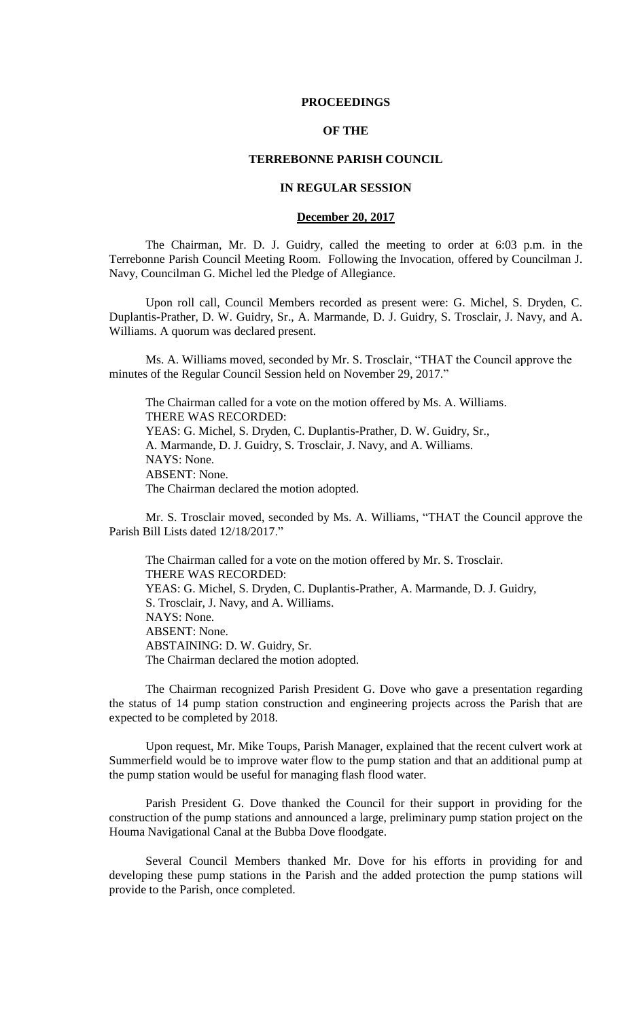#### **PROCEEDINGS**

# **OF THE**

### **TERREBONNE PARISH COUNCIL**

# **IN REGULAR SESSION**

### **December 20, 2017**

The Chairman, Mr. D. J. Guidry, called the meeting to order at 6:03 p.m. in the Terrebonne Parish Council Meeting Room. Following the Invocation, offered by Councilman J. Navy, Councilman G. Michel led the Pledge of Allegiance.

Upon roll call, Council Members recorded as present were: G. Michel, S. Dryden, C. Duplantis-Prather, D. W. Guidry, Sr., A. Marmande, D. J. Guidry, S. Trosclair, J. Navy, and A. Williams. A quorum was declared present.

Ms. A. Williams moved, seconded by Mr. S. Trosclair, "THAT the Council approve the minutes of the Regular Council Session held on November 29, 2017."

The Chairman called for a vote on the motion offered by Ms. A. Williams. THERE WAS RECORDED: YEAS: G. Michel, S. Dryden, C. Duplantis-Prather, D. W. Guidry, Sr., A. Marmande, D. J. Guidry, S. Trosclair, J. Navy, and A. Williams. NAYS: None. ABSENT: None. The Chairman declared the motion adopted.

Mr. S. Trosclair moved, seconded by Ms. A. Williams, "THAT the Council approve the Parish Bill Lists dated 12/18/2017."

The Chairman called for a vote on the motion offered by Mr. S. Trosclair. THERE WAS RECORDED: YEAS: G. Michel, S. Dryden, C. Duplantis-Prather, A. Marmande, D. J. Guidry, S. Trosclair, J. Navy, and A. Williams. NAYS: None. ABSENT: None. ABSTAINING: D. W. Guidry, Sr. The Chairman declared the motion adopted.

The Chairman recognized Parish President G. Dove who gave a presentation regarding the status of 14 pump station construction and engineering projects across the Parish that are expected to be completed by 2018.

Upon request, Mr. Mike Toups, Parish Manager, explained that the recent culvert work at Summerfield would be to improve water flow to the pump station and that an additional pump at the pump station would be useful for managing flash flood water.

Parish President G. Dove thanked the Council for their support in providing for the construction of the pump stations and announced a large, preliminary pump station project on the Houma Navigational Canal at the Bubba Dove floodgate.

Several Council Members thanked Mr. Dove for his efforts in providing for and developing these pump stations in the Parish and the added protection the pump stations will provide to the Parish, once completed.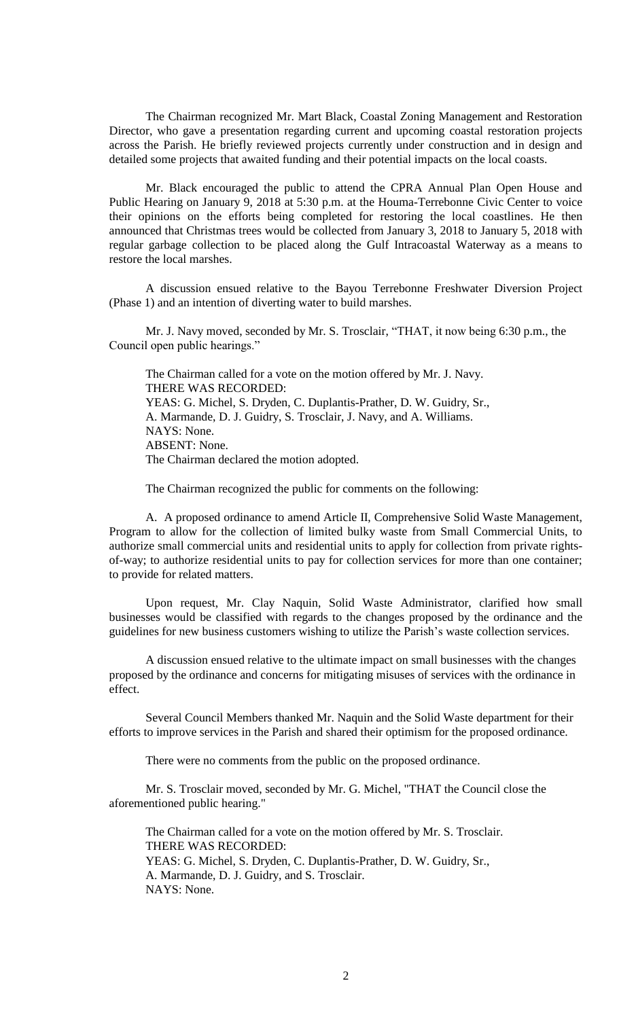The Chairman recognized Mr. Mart Black, Coastal Zoning Management and Restoration Director, who gave a presentation regarding current and upcoming coastal restoration projects across the Parish. He briefly reviewed projects currently under construction and in design and detailed some projects that awaited funding and their potential impacts on the local coasts.

Mr. Black encouraged the public to attend the CPRA Annual Plan Open House and Public Hearing on January 9, 2018 at 5:30 p.m. at the Houma-Terrebonne Civic Center to voice their opinions on the efforts being completed for restoring the local coastlines. He then announced that Christmas trees would be collected from January 3, 2018 to January 5, 2018 with regular garbage collection to be placed along the Gulf Intracoastal Waterway as a means to restore the local marshes.

A discussion ensued relative to the Bayou Terrebonne Freshwater Diversion Project (Phase 1) and an intention of diverting water to build marshes.

Mr. J. Navy moved, seconded by Mr. S. Trosclair, "THAT, it now being 6:30 p.m., the Council open public hearings."

The Chairman called for a vote on the motion offered by Mr. J. Navy. THERE WAS RECORDED: YEAS: G. Michel, S. Dryden, C. Duplantis-Prather, D. W. Guidry, Sr., A. Marmande, D. J. Guidry, S. Trosclair, J. Navy, and A. Williams. NAYS: None. ABSENT: None. The Chairman declared the motion adopted.

The Chairman recognized the public for comments on the following:

A. A proposed ordinance to amend Article II, Comprehensive Solid Waste Management, Program to allow for the collection of limited bulky waste from Small Commercial Units, to authorize small commercial units and residential units to apply for collection from private rightsof-way; to authorize residential units to pay for collection services for more than one container; to provide for related matters.

Upon request, Mr. Clay Naquin, Solid Waste Administrator, clarified how small businesses would be classified with regards to the changes proposed by the ordinance and the guidelines for new business customers wishing to utilize the Parish's waste collection services.

A discussion ensued relative to the ultimate impact on small businesses with the changes proposed by the ordinance and concerns for mitigating misuses of services with the ordinance in effect.

Several Council Members thanked Mr. Naquin and the Solid Waste department for their efforts to improve services in the Parish and shared their optimism for the proposed ordinance.

There were no comments from the public on the proposed ordinance.

Mr. S. Trosclair moved, seconded by Mr. G. Michel, "THAT the Council close the aforementioned public hearing."

The Chairman called for a vote on the motion offered by Mr. S. Trosclair. THERE WAS RECORDED: YEAS: G. Michel, S. Dryden, C. Duplantis-Prather, D. W. Guidry, Sr., A. Marmande, D. J. Guidry, and S. Trosclair. NAYS: None.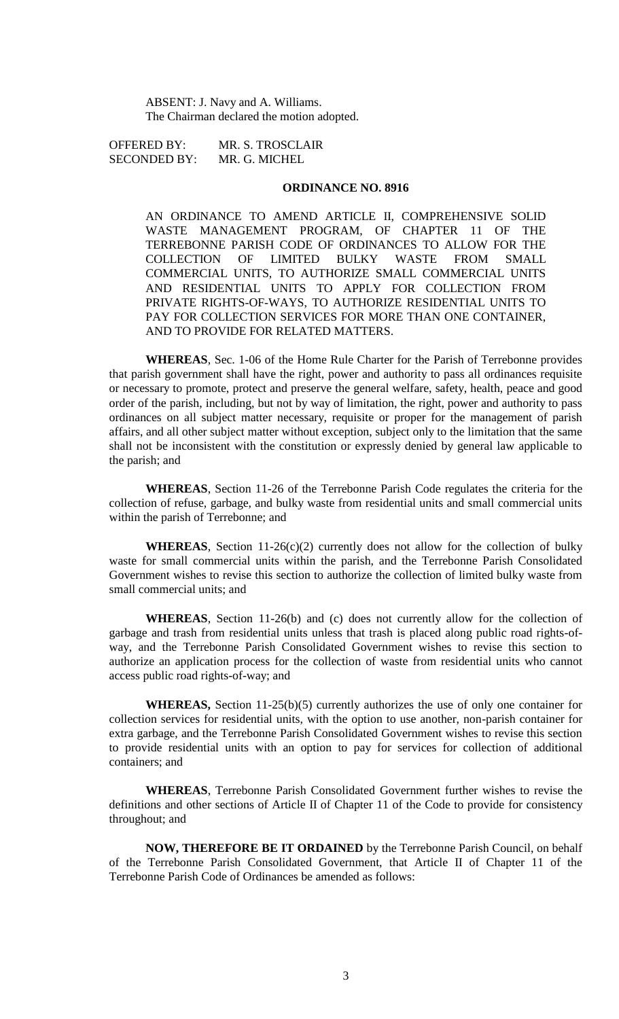ABSENT: J. Navy and A. Williams. The Chairman declared the motion adopted.

OFFERED BY: MR. S. TROSCLAIR SECONDED BY: MR. G. MICHEL

# **ORDINANCE NO. 8916**

AN ORDINANCE TO AMEND ARTICLE II, COMPREHENSIVE SOLID WASTE MANAGEMENT PROGRAM, OF CHAPTER 11 OF THE TERREBONNE PARISH CODE OF ORDINANCES TO ALLOW FOR THE COLLECTION OF LIMITED BULKY WASTE FROM SMALL COMMERCIAL UNITS, TO AUTHORIZE SMALL COMMERCIAL UNITS AND RESIDENTIAL UNITS TO APPLY FOR COLLECTION FROM PRIVATE RIGHTS-OF-WAYS, TO AUTHORIZE RESIDENTIAL UNITS TO PAY FOR COLLECTION SERVICES FOR MORE THAN ONE CONTAINER, AND TO PROVIDE FOR RELATED MATTERS.

**WHEREAS**, Sec. 1-06 of the Home Rule Charter for the Parish of Terrebonne provides that parish government shall have the right, power and authority to pass all ordinances requisite or necessary to promote, protect and preserve the general welfare, safety, health, peace and good order of the parish, including, but not by way of limitation, the right, power and authority to pass ordinances on all subject matter necessary, requisite or proper for the management of parish affairs, and all other subject matter without exception, subject only to the limitation that the same shall not be inconsistent with the constitution or expressly denied by general law applicable to the parish; and

**WHEREAS**, Section 11-26 of the Terrebonne Parish Code regulates the criteria for the collection of refuse, garbage, and bulky waste from residential units and small commercial units within the parish of Terrebonne; and

**WHEREAS**, Section 11-26(c)(2) currently does not allow for the collection of bulky waste for small commercial units within the parish, and the Terrebonne Parish Consolidated Government wishes to revise this section to authorize the collection of limited bulky waste from small commercial units; and

**WHEREAS**, Section 11-26(b) and (c) does not currently allow for the collection of garbage and trash from residential units unless that trash is placed along public road rights-ofway, and the Terrebonne Parish Consolidated Government wishes to revise this section to authorize an application process for the collection of waste from residential units who cannot access public road rights-of-way; and

**WHEREAS,** Section 11-25(b)(5) currently authorizes the use of only one container for collection services for residential units, with the option to use another, non-parish container for extra garbage, and the Terrebonne Parish Consolidated Government wishes to revise this section to provide residential units with an option to pay for services for collection of additional containers; and

**WHEREAS**, Terrebonne Parish Consolidated Government further wishes to revise the definitions and other sections of Article II of Chapter 11 of the Code to provide for consistency throughout; and

**NOW, THEREFORE BE IT ORDAINED** by the Terrebonne Parish Council, on behalf of the Terrebonne Parish Consolidated Government, that Article II of Chapter 11 of the Terrebonne Parish Code of Ordinances be amended as follows: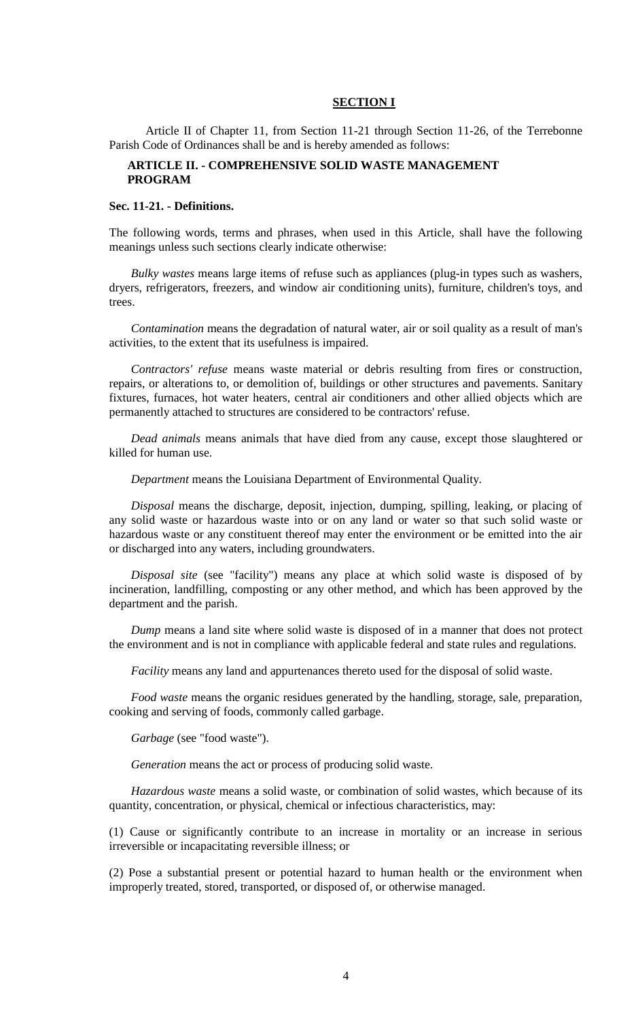# **SECTION I**

Article II of Chapter 11, from Section 11-21 through Section 11-26, of the Terrebonne Parish Code of Ordinances shall be and is hereby amended as follows:

# **ARTICLE II. - COMPREHENSIVE SOLID WASTE MANAGEMENT PROGRAM**

### **Sec. 11-21. - Definitions.**

The following words, terms and phrases, when used in this Article, shall have the following meanings unless such sections clearly indicate otherwise:

*Bulky wastes* means large items of refuse such as appliances (plug-in types such as washers, dryers, refrigerators, freezers, and window air conditioning units), furniture, children's toys, and trees.

*Contamination* means the degradation of natural water, air or soil quality as a result of man's activities, to the extent that its usefulness is impaired.

*Contractors' refuse* means waste material or debris resulting from fires or construction, repairs, or alterations to, or demolition of, buildings or other structures and pavements. Sanitary fixtures, furnaces, hot water heaters, central air conditioners and other allied objects which are permanently attached to structures are considered to be contractors' refuse.

*Dead animals* means animals that have died from any cause, except those slaughtered or killed for human use.

*Department* means the Louisiana Department of Environmental Quality.

*Disposal* means the discharge, deposit, injection, dumping, spilling, leaking, or placing of any solid waste or hazardous waste into or on any land or water so that such solid waste or hazardous waste or any constituent thereof may enter the environment or be emitted into the air or discharged into any waters, including groundwaters.

*Disposal site* (see "facility") means any place at which solid waste is disposed of by incineration, landfilling, composting or any other method, and which has been approved by the department and the parish.

*Dump* means a land site where solid waste is disposed of in a manner that does not protect the environment and is not in compliance with applicable federal and state rules and regulations.

*Facility* means any land and appurtenances thereto used for the disposal of solid waste.

*Food waste* means the organic residues generated by the handling, storage, sale, preparation, cooking and serving of foods, commonly called garbage.

*Garbage* (see "food waste").

*Generation* means the act or process of producing solid waste.

*Hazardous waste* means a solid waste, or combination of solid wastes, which because of its quantity, concentration, or physical, chemical or infectious characteristics, may:

(1) Cause or significantly contribute to an increase in mortality or an increase in serious irreversible or incapacitating reversible illness; or

(2) Pose a substantial present or potential hazard to human health or the environment when improperly treated, stored, transported, or disposed of, or otherwise managed.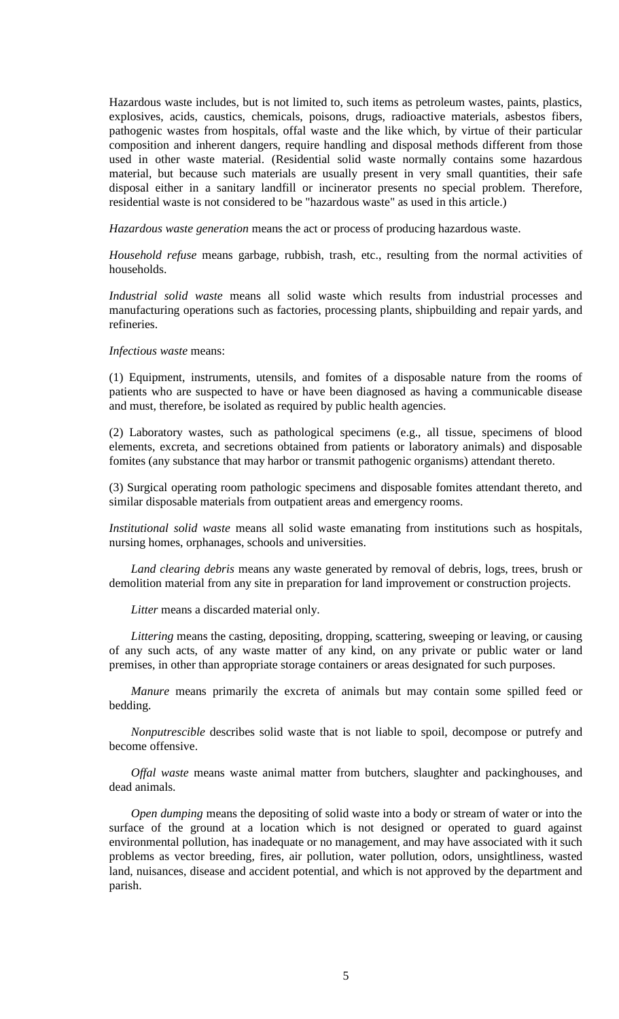Hazardous waste includes, but is not limited to, such items as petroleum wastes, paints, plastics, explosives, acids, caustics, chemicals, poisons, drugs, radioactive materials, asbestos fibers, pathogenic wastes from hospitals, offal waste and the like which, by virtue of their particular composition and inherent dangers, require handling and disposal methods different from those used in other waste material. (Residential solid waste normally contains some hazardous material, but because such materials are usually present in very small quantities, their safe disposal either in a sanitary landfill or incinerator presents no special problem. Therefore, residential waste is not considered to be "hazardous waste" as used in this article.)

*Hazardous waste generation* means the act or process of producing hazardous waste.

*Household refuse* means garbage, rubbish, trash, etc., resulting from the normal activities of households.

*Industrial solid waste* means all solid waste which results from industrial processes and manufacturing operations such as factories, processing plants, shipbuilding and repair yards, and refineries.

*Infectious waste* means:

(1) Equipment, instruments, utensils, and fomites of a disposable nature from the rooms of patients who are suspected to have or have been diagnosed as having a communicable disease and must, therefore, be isolated as required by public health agencies.

(2) Laboratory wastes, such as pathological specimens (e.g., all tissue, specimens of blood elements, excreta, and secretions obtained from patients or laboratory animals) and disposable fomites (any substance that may harbor or transmit pathogenic organisms) attendant thereto.

(3) Surgical operating room pathologic specimens and disposable fomites attendant thereto, and similar disposable materials from outpatient areas and emergency rooms.

*Institutional solid waste* means all solid waste emanating from institutions such as hospitals, nursing homes, orphanages, schools and universities.

*Land clearing debris* means any waste generated by removal of debris, logs, trees, brush or demolition material from any site in preparation for land improvement or construction projects.

*Litter* means a discarded material only.

*Littering* means the casting, depositing, dropping, scattering, sweeping or leaving, or causing of any such acts, of any waste matter of any kind, on any private or public water or land premises, in other than appropriate storage containers or areas designated for such purposes.

*Manure* means primarily the excreta of animals but may contain some spilled feed or bedding.

*Nonputrescible* describes solid waste that is not liable to spoil, decompose or putrefy and become offensive.

*Offal waste* means waste animal matter from butchers, slaughter and packinghouses, and dead animals.

*Open dumping* means the depositing of solid waste into a body or stream of water or into the surface of the ground at a location which is not designed or operated to guard against environmental pollution, has inadequate or no management, and may have associated with it such problems as vector breeding, fires, air pollution, water pollution, odors, unsightliness, wasted land, nuisances, disease and accident potential, and which is not approved by the department and parish.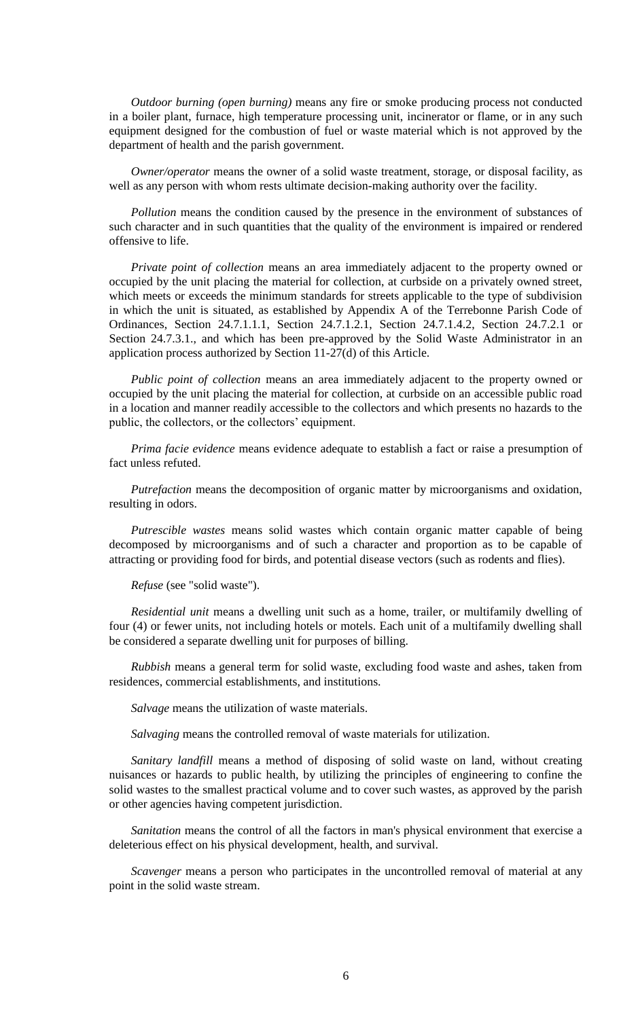*Outdoor burning (open burning)* means any fire or smoke producing process not conducted in a boiler plant, furnace, high temperature processing unit, incinerator or flame, or in any such equipment designed for the combustion of fuel or waste material which is not approved by the department of health and the parish government.

*Owner/operator* means the owner of a solid waste treatment, storage, or disposal facility, as well as any person with whom rests ultimate decision-making authority over the facility.

*Pollution* means the condition caused by the presence in the environment of substances of such character and in such quantities that the quality of the environment is impaired or rendered offensive to life.

*Private point of collection* means an area immediately adjacent to the property owned or occupied by the unit placing the material for collection, at curbside on a privately owned street, which meets or exceeds the minimum standards for streets applicable to the type of subdivision in which the unit is situated, as established by Appendix A of the Terrebonne Parish Code of Ordinances, Section 24.7.1.1.1, Section 24.7.1.2.1, Section 24.7.1.4.2, Section 24.7.2.1 or Section 24.7.3.1., and which has been pre-approved by the Solid Waste Administrator in an application process authorized by Section 11-27(d) of this Article.

*Public point of collection* means an area immediately adjacent to the property owned or occupied by the unit placing the material for collection, at curbside on an accessible public road in a location and manner readily accessible to the collectors and which presents no hazards to the public, the collectors, or the collectors' equipment.

*Prima facie evidence* means evidence adequate to establish a fact or raise a presumption of fact unless refuted.

*Putrefaction* means the decomposition of organic matter by microorganisms and oxidation, resulting in odors.

*Putrescible wastes* means solid wastes which contain organic matter capable of being decomposed by microorganisms and of such a character and proportion as to be capable of attracting or providing food for birds, and potential disease vectors (such as rodents and flies).

*Refuse* (see "solid waste").

*Residential unit* means a dwelling unit such as a home, trailer, or multifamily dwelling of four (4) or fewer units, not including hotels or motels. Each unit of a multifamily dwelling shall be considered a separate dwelling unit for purposes of billing.

*Rubbish* means a general term for solid waste, excluding food waste and ashes, taken from residences, commercial establishments, and institutions.

*Salvage* means the utilization of waste materials.

*Salvaging* means the controlled removal of waste materials for utilization.

*Sanitary landfill* means a method of disposing of solid waste on land, without creating nuisances or hazards to public health, by utilizing the principles of engineering to confine the solid wastes to the smallest practical volume and to cover such wastes, as approved by the parish or other agencies having competent jurisdiction.

*Sanitation* means the control of all the factors in man's physical environment that exercise a deleterious effect on his physical development, health, and survival.

*Scavenger* means a person who participates in the uncontrolled removal of material at any point in the solid waste stream.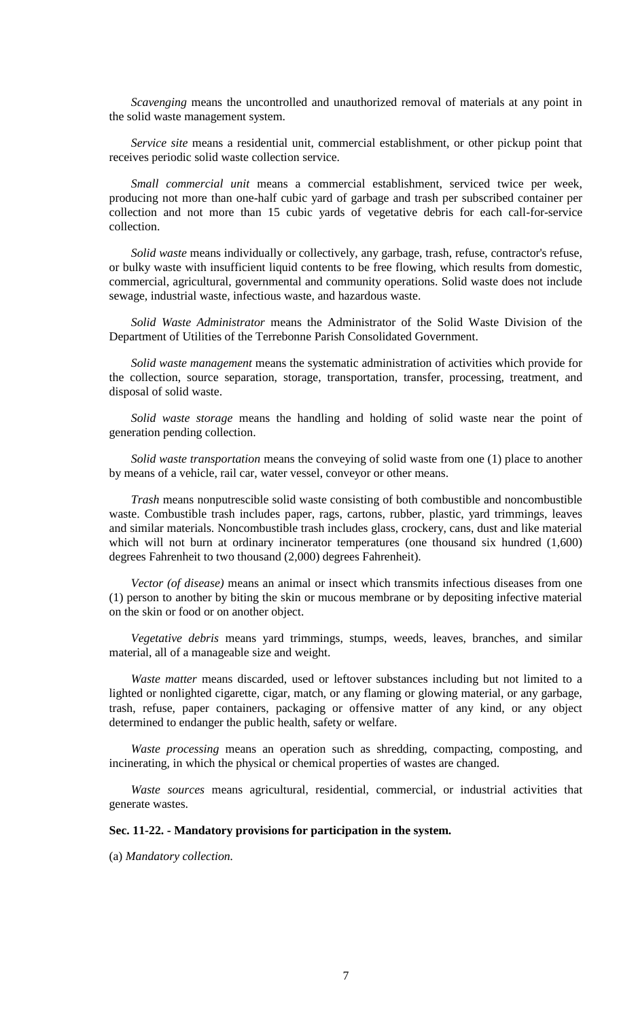*Scavenging* means the uncontrolled and unauthorized removal of materials at any point in the solid waste management system.

*Service site* means a residential unit, commercial establishment, or other pickup point that receives periodic solid waste collection service.

*Small commercial unit* means a commercial establishment, serviced twice per week, producing not more than one-half cubic yard of garbage and trash per subscribed container per collection and not more than 15 cubic yards of vegetative debris for each call-for-service collection.

*Solid waste* means individually or collectively, any garbage, trash, refuse, contractor's refuse, or bulky waste with insufficient liquid contents to be free flowing, which results from domestic, commercial, agricultural, governmental and community operations. Solid waste does not include sewage, industrial waste, infectious waste, and hazardous waste.

*Solid Waste Administrator* means the Administrator of the Solid Waste Division of the Department of Utilities of the Terrebonne Parish Consolidated Government.

*Solid waste management* means the systematic administration of activities which provide for the collection, source separation, storage, transportation, transfer, processing, treatment, and disposal of solid waste.

*Solid waste storage* means the handling and holding of solid waste near the point of generation pending collection.

*Solid waste transportation* means the conveying of solid waste from one (1) place to another by means of a vehicle, rail car, water vessel, conveyor or other means.

*Trash* means nonputrescible solid waste consisting of both combustible and noncombustible waste. Combustible trash includes paper, rags, cartons, rubber, plastic, yard trimmings, leaves and similar materials. Noncombustible trash includes glass, crockery, cans, dust and like material which will not burn at ordinary incinerator temperatures (one thousand six hundred  $(1,600)$ ) degrees Fahrenheit to two thousand (2,000) degrees Fahrenheit).

*Vector (of disease)* means an animal or insect which transmits infectious diseases from one (1) person to another by biting the skin or mucous membrane or by depositing infective material on the skin or food or on another object.

*Vegetative debris* means yard trimmings, stumps, weeds, leaves, branches, and similar material, all of a manageable size and weight.

*Waste matter* means discarded, used or leftover substances including but not limited to a lighted or nonlighted cigarette, cigar, match, or any flaming or glowing material, or any garbage, trash, refuse, paper containers, packaging or offensive matter of any kind, or any object determined to endanger the public health, safety or welfare.

*Waste processing* means an operation such as shredding, compacting, composting, and incinerating, in which the physical or chemical properties of wastes are changed.

*Waste sources* means agricultural, residential, commercial, or industrial activities that generate wastes.

# **Sec. 11-22. - Mandatory provisions for participation in the system.**

(a) *Mandatory collection.*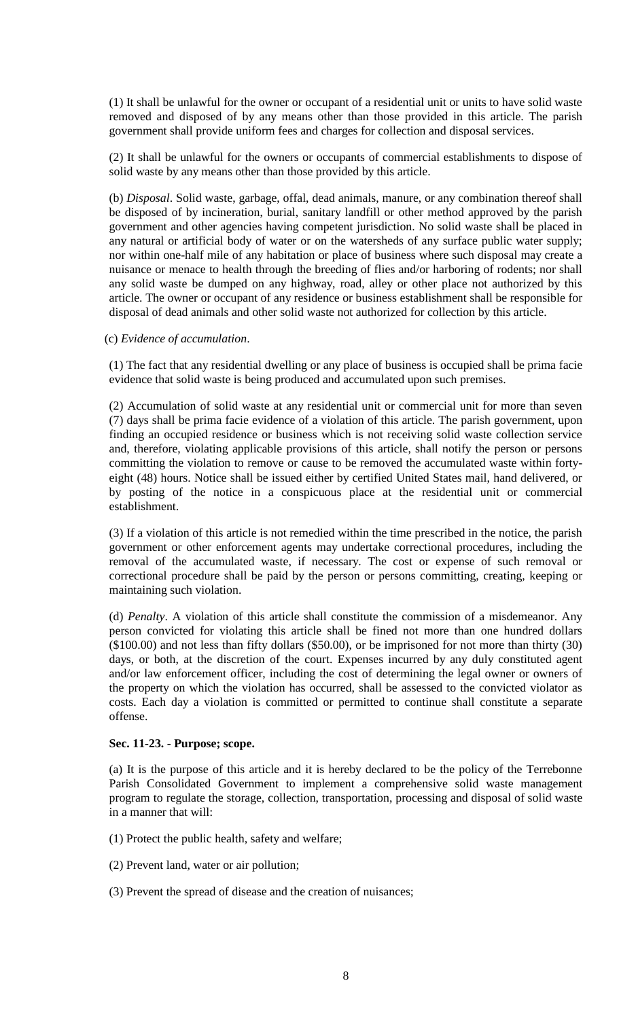(1) It shall be unlawful for the owner or occupant of a residential unit or units to have solid waste removed and disposed of by any means other than those provided in this article. The parish government shall provide uniform fees and charges for collection and disposal services.

(2) It shall be unlawful for the owners or occupants of commercial establishments to dispose of solid waste by any means other than those provided by this article.

(b) *Disposal*. Solid waste, garbage, offal, dead animals, manure, or any combination thereof shall be disposed of by incineration, burial, sanitary landfill or other method approved by the parish government and other agencies having competent jurisdiction. No solid waste shall be placed in any natural or artificial body of water or on the watersheds of any surface public water supply; nor within one-half mile of any habitation or place of business where such disposal may create a nuisance or menace to health through the breeding of flies and/or harboring of rodents; nor shall any solid waste be dumped on any highway, road, alley or other place not authorized by this article. The owner or occupant of any residence or business establishment shall be responsible for disposal of dead animals and other solid waste not authorized for collection by this article.

### (c) *Evidence of accumulation*.

(1) The fact that any residential dwelling or any place of business is occupied shall be prima facie evidence that solid waste is being produced and accumulated upon such premises.

(2) Accumulation of solid waste at any residential unit or commercial unit for more than seven (7) days shall be prima facie evidence of a violation of this article. The parish government, upon finding an occupied residence or business which is not receiving solid waste collection service and, therefore, violating applicable provisions of this article, shall notify the person or persons committing the violation to remove or cause to be removed the accumulated waste within fortyeight (48) hours. Notice shall be issued either by certified United States mail, hand delivered, or by posting of the notice in a conspicuous place at the residential unit or commercial establishment.

(3) If a violation of this article is not remedied within the time prescribed in the notice, the parish government or other enforcement agents may undertake correctional procedures, including the removal of the accumulated waste, if necessary. The cost or expense of such removal or correctional procedure shall be paid by the person or persons committing, creating, keeping or maintaining such violation.

(d) *Penalty*. A violation of this article shall constitute the commission of a misdemeanor. Any person convicted for violating this article shall be fined not more than one hundred dollars (\$100.00) and not less than fifty dollars (\$50.00), or be imprisoned for not more than thirty (30) days, or both, at the discretion of the court. Expenses incurred by any duly constituted agent and/or law enforcement officer, including the cost of determining the legal owner or owners of the property on which the violation has occurred, shall be assessed to the convicted violator as costs. Each day a violation is committed or permitted to continue shall constitute a separate offense.

### **Sec. 11-23. - Purpose; scope.**

(a) It is the purpose of this article and it is hereby declared to be the policy of the Terrebonne Parish Consolidated Government to implement a comprehensive solid waste management program to regulate the storage, collection, transportation, processing and disposal of solid waste in a manner that will:

- (1) Protect the public health, safety and welfare;
- (2) Prevent land, water or air pollution;
- (3) Prevent the spread of disease and the creation of nuisances;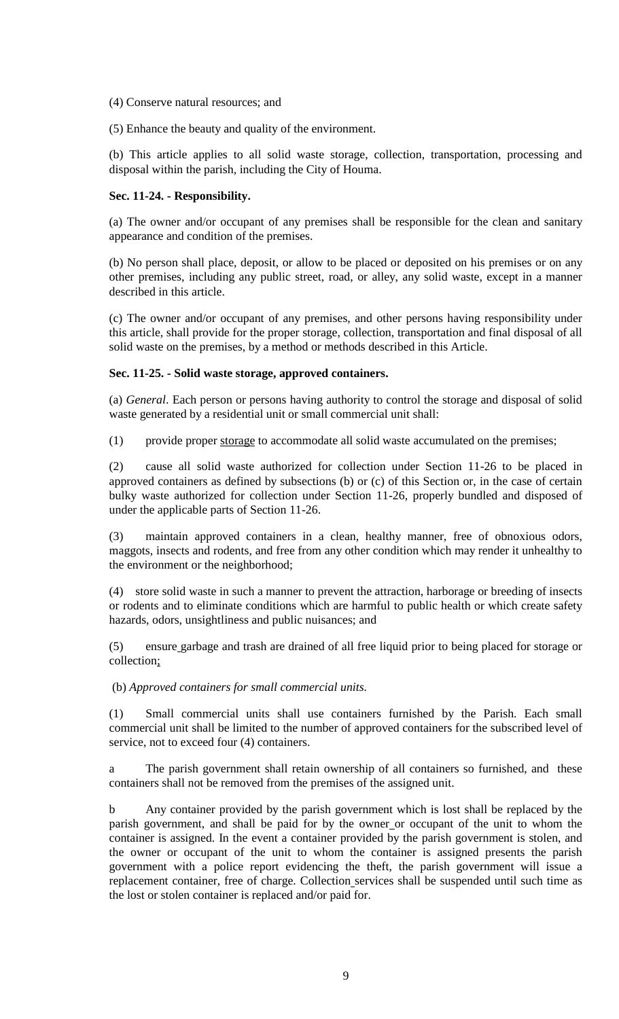- (4) Conserve natural resources; and
- (5) Enhance the beauty and quality of the environment.

(b) This article applies to all solid waste storage, collection, transportation, processing and disposal within the parish, including the City of Houma.

# **Sec. 11-24. - Responsibility.**

(a) The owner and/or occupant of any premises shall be responsible for the clean and sanitary appearance and condition of the premises.

(b) No person shall place, deposit, or allow to be placed or deposited on his premises or on any other premises, including any public street, road, or alley, any solid waste, except in a manner described in this article.

(c) The owner and/or occupant of any premises, and other persons having responsibility under this article, shall provide for the proper storage, collection, transportation and final disposal of all solid waste on the premises, by a method or methods described in this Article.

## **Sec. 11-25. - Solid waste storage, approved containers.**

(a) *General*. Each person or persons having authority to control the storage and disposal of solid waste generated by a residential unit or small commercial unit shall:

(1) provide proper storage to accommodate all solid waste accumulated on the premises;

(2) cause all solid waste authorized for collection under Section 11-26 to be placed in approved containers as defined by subsections (b) or (c) of this Section or, in the case of certain bulky waste authorized for collection under Section 11-26, properly bundled and disposed of under the applicable parts of Section 11-26.

(3) maintain approved containers in a clean, healthy manner, free of obnoxious odors, maggots, insects and rodents, and free from any other condition which may render it unhealthy to the environment or the neighborhood;

(4) store solid waste in such a manner to prevent the attraction, harborage or breeding of insects or rodents and to eliminate conditions which are harmful to public health or which create safety hazards, odors, unsightliness and public nuisances; and

(5) ensure garbage and trash are drained of all free liquid prior to being placed for storage or collection;

(b) *Approved containers for small commercial units.*

(1) Small commercial units shall use containers furnished by the Parish. Each small commercial unit shall be limited to the number of approved containers for the subscribed level of service, not to exceed four  $(4)$  containers.

a The parish government shall retain ownership of all containers so furnished, and these containers shall not be removed from the premises of the assigned unit.

b Any container provided by the parish government which is lost shall be replaced by the parish government, and shall be paid for by the owner or occupant of the unit to whom the container is assigned. In the event a container provided by the parish government is stolen, and the owner or occupant of the unit to whom the container is assigned presents the parish government with a police report evidencing the theft, the parish government will issue a replacement container, free of charge. Collection services shall be suspended until such time as the lost or stolen container is replaced and/or paid for.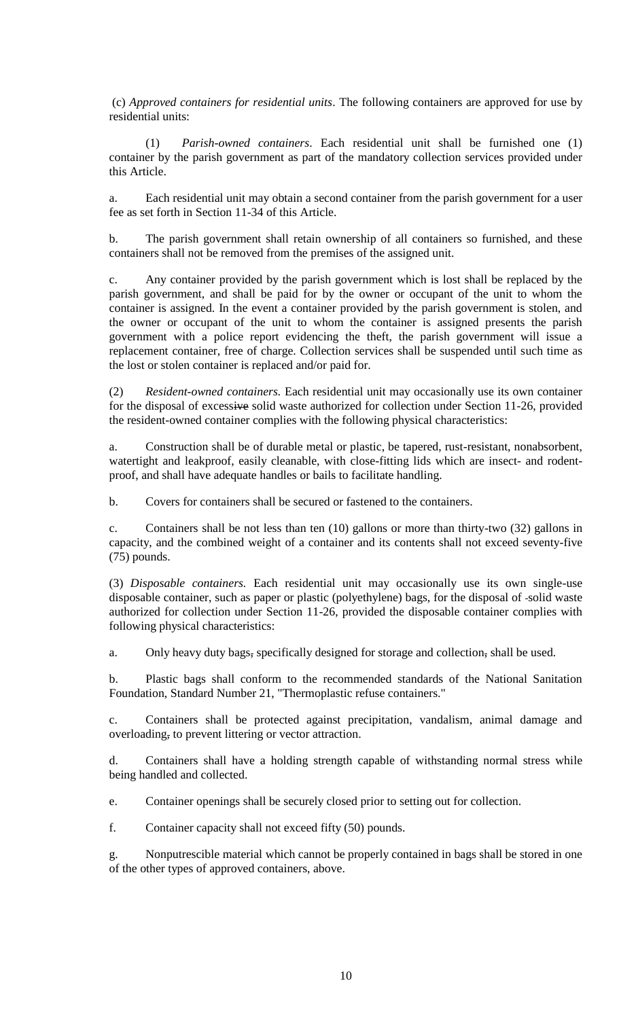(c) *Approved containers for residential units*. The following containers are approved for use by residential units:

(1) *Parish-owned containers*. Each residential unit shall be furnished one (1) container by the parish government as part of the mandatory collection services provided under this Article.

a. Each residential unit may obtain a second container from the parish government for a user fee as set forth in Section 11-34 of this Article.

b. The parish government shall retain ownership of all containers so furnished, and these containers shall not be removed from the premises of the assigned unit.

c. Any container provided by the parish government which is lost shall be replaced by the parish government, and shall be paid for by the owner or occupant of the unit to whom the container is assigned. In the event a container provided by the parish government is stolen, and the owner or occupant of the unit to whom the container is assigned presents the parish government with a police report evidencing the theft, the parish government will issue a replacement container, free of charge. Collection services shall be suspended until such time as the lost or stolen container is replaced and/or paid for.

(2) *Resident-owned containers.* Each residential unit may occasionally use its own container for the disposal of excessive solid waste authorized for collection under Section 11-26, provided the resident-owned container complies with the following physical characteristics:

a. Construction shall be of durable metal or plastic, be tapered, rust-resistant, nonabsorbent, watertight and leakproof, easily cleanable, with close-fitting lids which are insect- and rodentproof, and shall have adequate handles or bails to facilitate handling.

b. Covers for containers shall be secured or fastened to the containers.

c. Containers shall be not less than ten (10) gallons or more than thirty-two (32) gallons in capacity, and the combined weight of a container and its contents shall not exceed seventy-five (75) pounds.

(3) *Disposable containers.* Each residential unit may occasionally use its own single-use disposable container, such as paper or plastic (polyethylene) bags, for the disposal of -solid waste authorized for collection under Section 11-26, provided the disposable container complies with following physical characteristics:

a. Only heavy duty bags, specifically designed for storage and collection, shall be used.

b. Plastic bags shall conform to the recommended standards of the National Sanitation Foundation, Standard Number 21, "Thermoplastic refuse containers."

c. Containers shall be protected against precipitation, vandalism, animal damage and overloading, to prevent littering or vector attraction.

d. Containers shall have a holding strength capable of withstanding normal stress while being handled and collected.

e. Container openings shall be securely closed prior to setting out for collection.

f. Container capacity shall not exceed fifty (50) pounds.

g. Nonputrescible material which cannot be properly contained in bags shall be stored in one of the other types of approved containers, above.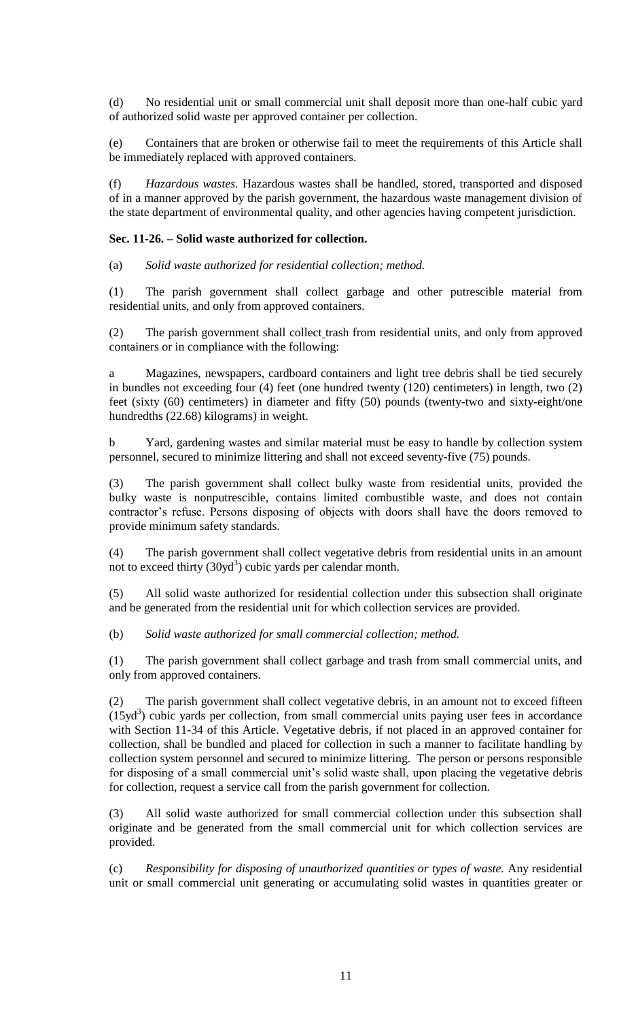(d) No residential unit or small commercial unit shall deposit more than one-half cubic yard of authorized solid waste per approved container per collection.

(e) Containers that are broken or otherwise fail to meet the requirements of this Article shall be immediately replaced with approved containers.

(f) *Hazardous wastes.* Hazardous wastes shall be handled, stored, transported and disposed of in a manner approved by the parish government, the hazardous waste management division of the state department of environmental quality, and other agencies having competent jurisdiction.

# **Sec. 11-26. – Solid waste authorized for collection.**

(a) *Solid waste authorized for residential collection; method.*

(1) The parish government shall collect garbage and other putrescible material from residential units, and only from approved containers.

(2) The parish government shall collect trash from residential units, and only from approved containers or in compliance with the following:

a Magazines, newspapers, cardboard containers and light tree debris shall be tied securely in bundles not exceeding four (4) feet (one hundred twenty (120) centimeters) in length, two (2) feet (sixty (60) centimeters) in diameter and fifty (50) pounds (twenty-two and sixty-eight/one hundredths (22.68) kilograms) in weight.

b Yard, gardening wastes and similar material must be easy to handle by collection system personnel, secured to minimize littering and shall not exceed seventy-five (75) pounds.

(3) The parish government shall collect bulky waste from residential units, provided the bulky waste is nonputrescible, contains limited combustible waste, and does not contain contractor's refuse. Persons disposing of objects with doors shall have the doors removed to provide minimum safety standards.

(4) The parish government shall collect vegetative debris from residential units in an amount not to exceed thirty  $(30yd^3)$  cubic yards per calendar month.

(5) All solid waste authorized for residential collection under this subsection shall originate and be generated from the residential unit for which collection services are provided.

(b) *Solid waste authorized for small commercial collection; method.*

(1) The parish government shall collect garbage and trash from small commercial units, and only from approved containers.

(2) The parish government shall collect vegetative debris, in an amount not to exceed fifteen  $(15yd<sup>3</sup>)$  cubic yards per collection, from small commercial units paying user fees in accordance with Section 11-34 of this Article. Vegetative debris, if not placed in an approved container for collection, shall be bundled and placed for collection in such a manner to facilitate handling by collection system personnel and secured to minimize littering. The person or persons responsible for disposing of a small commercial unit's solid waste shall, upon placing the vegetative debris for collection, request a service call from the parish government for collection.

(3) All solid waste authorized for small commercial collection under this subsection shall originate and be generated from the small commercial unit for which collection services are provided.

(c) *Responsibility for disposing of unauthorized quantities or types of waste.* Any residential unit or small commercial unit generating or accumulating solid wastes in quantities greater or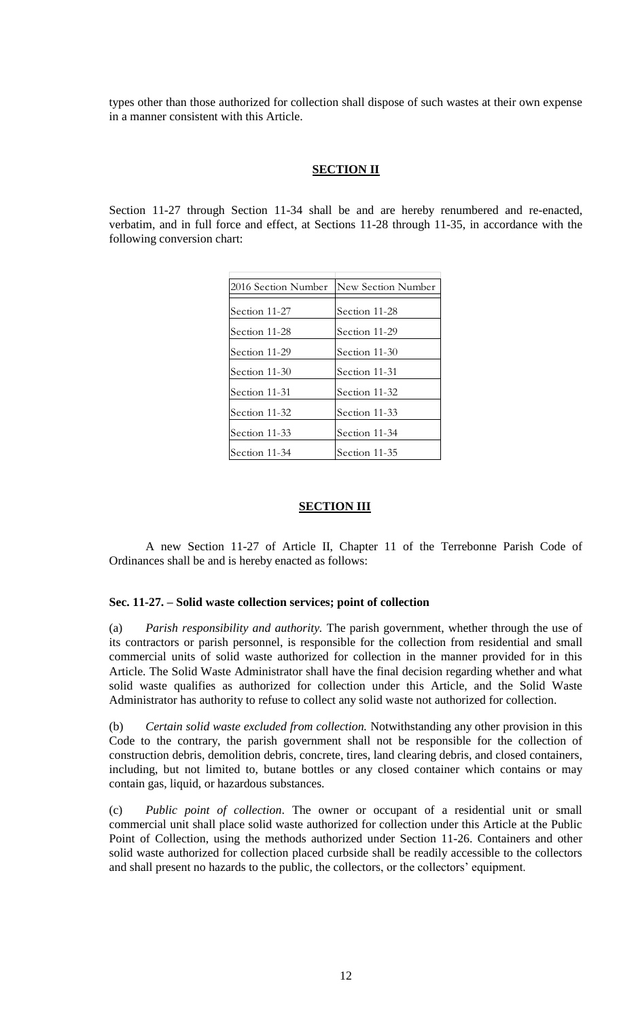types other than those authorized for collection shall dispose of such wastes at their own expense in a manner consistent with this Article.

## **SECTION II**

Section 11-27 through Section 11-34 shall be and are hereby renumbered and re-enacted, verbatim, and in full force and effect, at Sections 11-28 through 11-35, in accordance with the following conversion chart:

| 2016 Section Number | New Section Number |
|---------------------|--------------------|
| Section 11-27       | Section 11-28      |
| Section 11-28       | Section 11-29      |
| Section 11-29       | Section 11-30      |
| Section 11-30       | Section 11-31      |
| Section 11-31       | Section 11-32      |
| Section 11-32       | Section 11-33      |
| Section 11-33       | Section 11-34      |
| Section 11-34       | Section 11-35      |

# **SECTION III**

A new Section 11-27 of Article II, Chapter 11 of the Terrebonne Parish Code of Ordinances shall be and is hereby enacted as follows:

### **Sec. 11-27. – Solid waste collection services; point of collection**

(a) *Parish responsibility and authority.* The parish government, whether through the use of its contractors or parish personnel, is responsible for the collection from residential and small commercial units of solid waste authorized for collection in the manner provided for in this Article. The Solid Waste Administrator shall have the final decision regarding whether and what solid waste qualifies as authorized for collection under this Article, and the Solid Waste Administrator has authority to refuse to collect any solid waste not authorized for collection.

(b) *Certain solid waste excluded from collection.* Notwithstanding any other provision in this Code to the contrary, the parish government shall not be responsible for the collection of construction debris, demolition debris, concrete, tires, land clearing debris, and closed containers, including, but not limited to, butane bottles or any closed container which contains or may contain gas, liquid, or hazardous substances.

(c) *Public point of collection*. The owner or occupant of a residential unit or small commercial unit shall place solid waste authorized for collection under this Article at the Public Point of Collection, using the methods authorized under Section 11-26. Containers and other solid waste authorized for collection placed curbside shall be readily accessible to the collectors and shall present no hazards to the public, the collectors, or the collectors' equipment.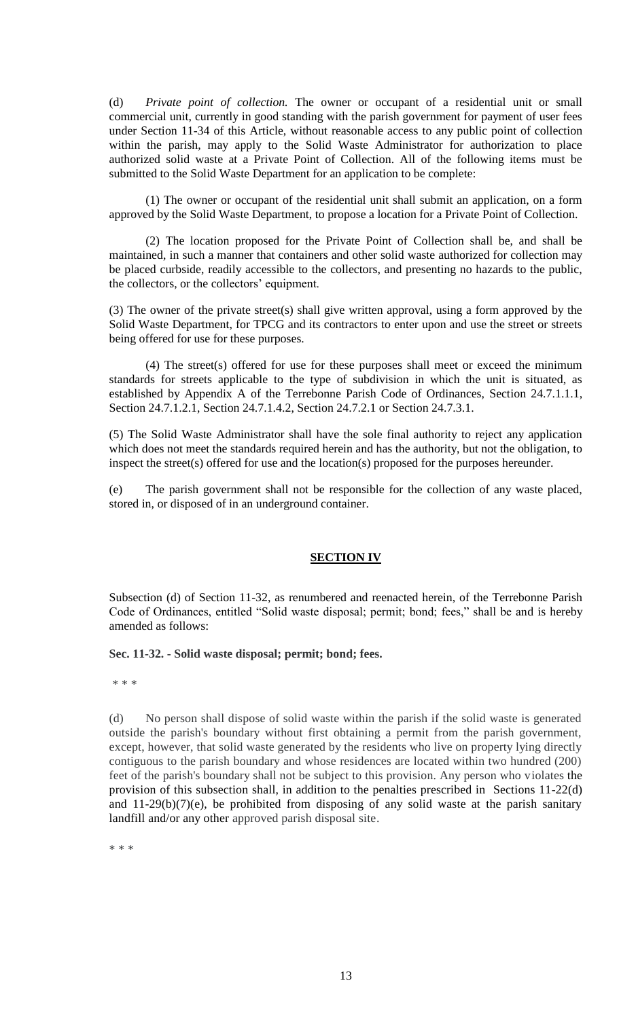(d) *Private point of collection.* The owner or occupant of a residential unit or small commercial unit, currently in good standing with the parish government for payment of user fees under Section 11-34 of this Article, without reasonable access to any public point of collection within the parish, may apply to the Solid Waste Administrator for authorization to place authorized solid waste at a Private Point of Collection. All of the following items must be submitted to the Solid Waste Department for an application to be complete:

(1) The owner or occupant of the residential unit shall submit an application, on a form approved by the Solid Waste Department, to propose a location for a Private Point of Collection.

(2) The location proposed for the Private Point of Collection shall be, and shall be maintained, in such a manner that containers and other solid waste authorized for collection may be placed curbside, readily accessible to the collectors, and presenting no hazards to the public, the collectors, or the collectors' equipment.

(3) The owner of the private street(s) shall give written approval, using a form approved by the Solid Waste Department, for TPCG and its contractors to enter upon and use the street or streets being offered for use for these purposes.

(4) The street(s) offered for use for these purposes shall meet or exceed the minimum standards for streets applicable to the type of subdivision in which the unit is situated, as established by Appendix A of the Terrebonne Parish Code of Ordinances, Section 24.7.1.1.1, Section 24.7.1.2.1, Section 24.7.1.4.2, Section 24.7.2.1 or Section 24.7.3.1.

(5) The Solid Waste Administrator shall have the sole final authority to reject any application which does not meet the standards required herein and has the authority, but not the obligation, to inspect the street(s) offered for use and the location(s) proposed for the purposes hereunder.

(e) The parish government shall not be responsible for the collection of any waste placed, stored in, or disposed of in an underground container.

# **SECTION IV**

Subsection (d) of Section 11-32, as renumbered and reenacted herein, of the Terrebonne Parish Code of Ordinances, entitled "Solid waste disposal; permit; bond; fees," shall be and is hereby amended as follows:

### **Sec. 11-32. - Solid waste disposal; permit; bond; fees.**

\* \* \*

(d) No person shall dispose of solid waste within the parish if the solid waste is generated outside the parish's boundary without first obtaining a permit from the parish government, except, however, that solid waste generated by the residents who live on property lying directly contiguous to the parish boundary and whose residences are located within two hundred (200) feet of the parish's boundary shall not be subject to this provision. Any person who violates the provision of this subsection shall, in addition to the penalties prescribed in Sections 11-22(d) and  $11-29(b)(7)(e)$ , be prohibited from disposing of any solid waste at the parish sanitary landfill and/or any other approved parish disposal site.

\* \* \*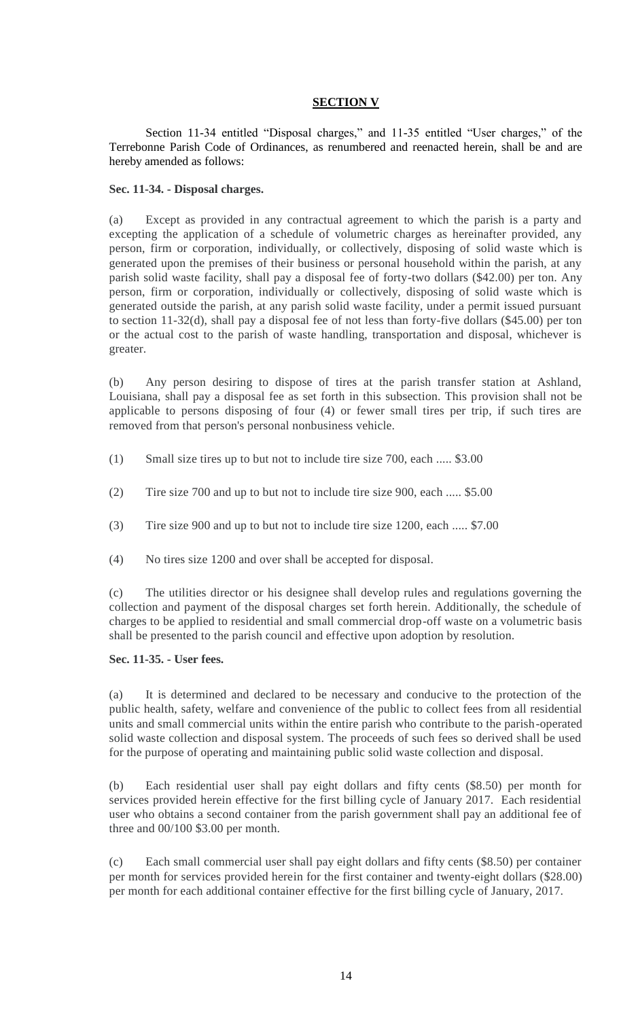# **SECTION V**

Section 11-34 entitled "Disposal charges," and 11-35 entitled "User charges," of the Terrebonne Parish Code of Ordinances, as renumbered and reenacted herein, shall be and are hereby amended as follows:

## **Sec. 11-34. - Disposal charges.**

(a) Except as provided in any contractual agreement to which the parish is a party and excepting the application of a schedule of volumetric charges as hereinafter provided, any person, firm or corporation, individually, or collectively, disposing of solid waste which is generated upon the premises of their business or personal household within the parish, at any parish solid waste facility, shall pay a disposal fee of forty-two dollars (\$42.00) per ton. Any person, firm or corporation, individually or collectively, disposing of solid waste which is generated outside the parish, at any parish solid waste facility, under a permit issued pursuant to section 11-32(d), shall pay a disposal fee of not less than forty-five dollars (\$45.00) per ton or the actual cost to the parish of waste handling, transportation and disposal, whichever is greater.

(b) Any person desiring to dispose of tires at the parish transfer station at Ashland, Louisiana, shall pay a disposal fee as set forth in this subsection. This provision shall not be applicable to persons disposing of four (4) or fewer small tires per trip, if such tires are removed from that person's personal nonbusiness vehicle.

- (1) Small size tires up to but not to include tire size 700, each ..... \$3.00
- (2) Tire size 700 and up to but not to include tire size 900, each ..... \$5.00
- (3) Tire size 900 and up to but not to include tire size 1200, each ..... \$7.00
- (4) No tires size 1200 and over shall be accepted for disposal.

(c) The utilities director or his designee shall develop rules and regulations governing the collection and payment of the disposal charges set forth herein. Additionally, the schedule of charges to be applied to residential and small commercial drop-off waste on a volumetric basis shall be presented to the parish council and effective upon adoption by resolution.

# **Sec. 11-35. - User fees.**

(a) It is determined and declared to be necessary and conducive to the protection of the public health, safety, welfare and convenience of the public to collect fees from all residential units and small commercial units within the entire parish who contribute to the parish-operated solid waste collection and disposal system. The proceeds of such fees so derived shall be used for the purpose of operating and maintaining public solid waste collection and disposal.

(b) Each residential user shall pay eight dollars and fifty cents (\$8.50) per month for services provided herein effective for the first billing cycle of January 2017. Each residential user who obtains a second container from the parish government shall pay an additional fee of three and 00/100 \$3.00 per month.

(c) Each small commercial user shall pay eight dollars and fifty cents (\$8.50) per container per month for services provided herein for the first container and twenty-eight dollars (\$28.00) per month for each additional container effective for the first billing cycle of January, 2017.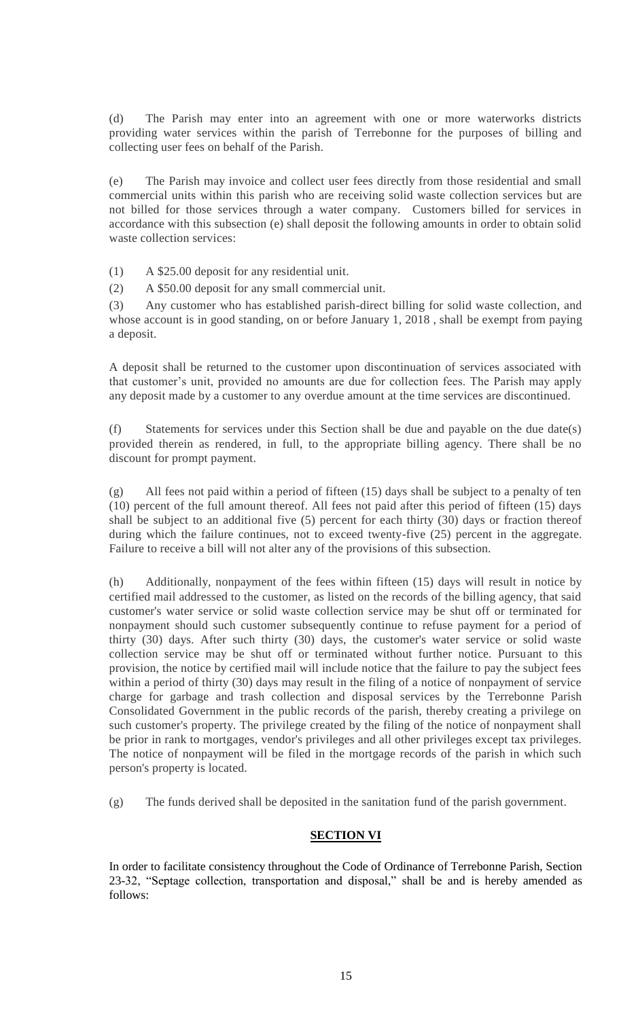(d) The Parish may enter into an agreement with one or more waterworks districts providing water services within the parish of Terrebonne for the purposes of billing and collecting user fees on behalf of the Parish.

(e) The Parish may invoice and collect user fees directly from those residential and small commercial units within this parish who are receiving solid waste collection services but are not billed for those services through a water company. Customers billed for services in accordance with this subsection (e) shall deposit the following amounts in order to obtain solid waste collection services:

(1) A \$25.00 deposit for any residential unit.

(2) A \$50.00 deposit for any small commercial unit.

(3) Any customer who has established parish-direct billing for solid waste collection, and whose account is in good standing, on or before January 1, 2018 , shall be exempt from paying a deposit.

A deposit shall be returned to the customer upon discontinuation of services associated with that customer's unit, provided no amounts are due for collection fees. The Parish may apply any deposit made by a customer to any overdue amount at the time services are discontinued.

(f) Statements for services under this Section shall be due and payable on the due date(s) provided therein as rendered, in full, to the appropriate billing agency. There shall be no discount for prompt payment.

(g) All fees not paid within a period of fifteen (15) days shall be subject to a penalty of ten (10) percent of the full amount thereof. All fees not paid after this period of fifteen (15) days shall be subject to an additional five (5) percent for each thirty (30) days or fraction thereof during which the failure continues, not to exceed twenty-five (25) percent in the aggregate. Failure to receive a bill will not alter any of the provisions of this subsection.

(h) Additionally, nonpayment of the fees within fifteen (15) days will result in notice by certified mail addressed to the customer, as listed on the records of the billing agency, that said customer's water service or solid waste collection service may be shut off or terminated for nonpayment should such customer subsequently continue to refuse payment for a period of thirty (30) days. After such thirty (30) days, the customer's water service or solid waste collection service may be shut off or terminated without further notice. Pursuant to this provision, the notice by certified mail will include notice that the failure to pay the subject fees within a period of thirty (30) days may result in the filing of a notice of nonpayment of service charge for garbage and trash collection and disposal services by the Terrebonne Parish Consolidated Government in the public records of the parish, thereby creating a privilege on such customer's property. The privilege created by the filing of the notice of nonpayment shall be prior in rank to mortgages, vendor's privileges and all other privileges except tax privileges. The notice of nonpayment will be filed in the mortgage records of the parish in which such person's property is located.

(g) The funds derived shall be deposited in the sanitation fund of the parish government.

# **SECTION VI**

In order to facilitate consistency throughout the Code of Ordinance of Terrebonne Parish, Section 23-32, "Septage collection, transportation and disposal," shall be and is hereby amended as follows: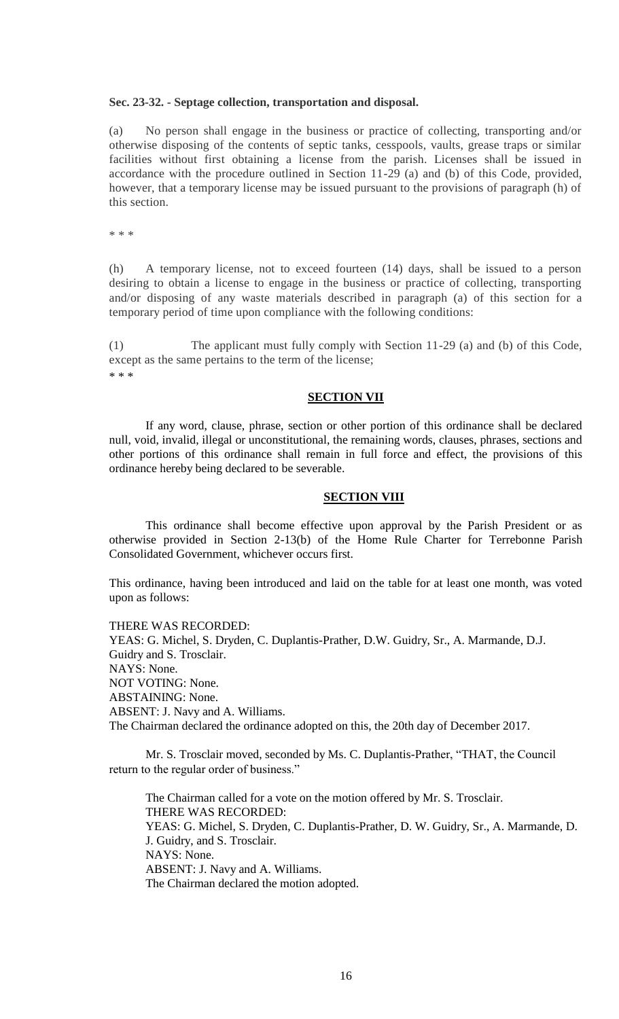### **Sec. 23-32. - Septage collection, transportation and disposal.**

(a) No person shall engage in the business or practice of collecting, transporting and/or otherwise disposing of the contents of septic tanks, cesspools, vaults, grease traps or similar facilities without first obtaining a license from the parish. Licenses shall be issued in accordance with the procedure outlined in Section 11-29 (a) and (b) of this Code, provided, however, that a temporary license may be issued pursuant to the provisions of paragraph (h) of this section.

\* \* \*

(h) A temporary license, not to exceed fourteen (14) days, shall be issued to a person desiring to obtain a license to engage in the business or practice of collecting, transporting and/or disposing of any waste materials described in paragraph (a) of this section for a temporary period of time upon compliance with the following conditions:

(1) The applicant must fully comply with Section 11-29 (a) and (b) of this Code, except as the same pertains to the term of the license; \* \* \*

### **SECTION VII**

If any word, clause, phrase, section or other portion of this ordinance shall be declared null, void, invalid, illegal or unconstitutional, the remaining words, clauses, phrases, sections and other portions of this ordinance shall remain in full force and effect, the provisions of this ordinance hereby being declared to be severable.

# **SECTION VIII**

This ordinance shall become effective upon approval by the Parish President or as otherwise provided in Section 2-13(b) of the Home Rule Charter for Terrebonne Parish Consolidated Government, whichever occurs first.

This ordinance, having been introduced and laid on the table for at least one month, was voted upon as follows:

THERE WAS RECORDED: YEAS: G. Michel, S. Dryden, C. Duplantis-Prather, D.W. Guidry, Sr., A. Marmande, D.J. Guidry and S. Trosclair. NAYS: None. NOT VOTING: None. ABSTAINING: None. ABSENT: J. Navy and A. Williams. The Chairman declared the ordinance adopted on this, the 20th day of December 2017.

Mr. S. Trosclair moved, seconded by Ms. C. Duplantis-Prather, "THAT, the Council return to the regular order of business."

The Chairman called for a vote on the motion offered by Mr. S. Trosclair. THERE WAS RECORDED: YEAS: G. Michel, S. Dryden, C. Duplantis-Prather, D. W. Guidry, Sr., A. Marmande, D. J. Guidry, and S. Trosclair. NAYS: None. ABSENT: J. Navy and A. Williams. The Chairman declared the motion adopted.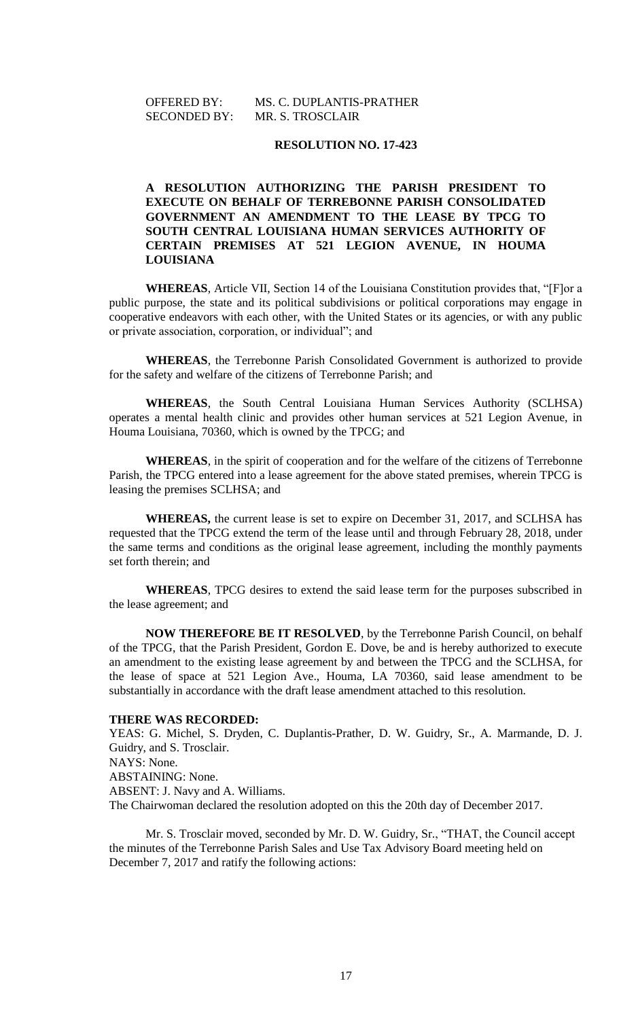# OFFERED BY: MS. C. DUPLANTIS-PRATHER SECONDED BY: MR. S. TROSCLAIR

### **RESOLUTION NO. 17-423**

# **A RESOLUTION AUTHORIZING THE PARISH PRESIDENT TO EXECUTE ON BEHALF OF TERREBONNE PARISH CONSOLIDATED GOVERNMENT AN AMENDMENT TO THE LEASE BY TPCG TO SOUTH CENTRAL LOUISIANA HUMAN SERVICES AUTHORITY OF CERTAIN PREMISES AT 521 LEGION AVENUE, IN HOUMA LOUISIANA**

**WHEREAS**, Article VII, Section 14 of the Louisiana Constitution provides that, "[F]or a public purpose, the state and its political subdivisions or political corporations may engage in cooperative endeavors with each other, with the United States or its agencies, or with any public or private association, corporation, or individual"; and

**WHEREAS**, the Terrebonne Parish Consolidated Government is authorized to provide for the safety and welfare of the citizens of Terrebonne Parish; and

**WHEREAS**, the South Central Louisiana Human Services Authority (SCLHSA) operates a mental health clinic and provides other human services at 521 Legion Avenue, in Houma Louisiana, 70360, which is owned by the TPCG; and

**WHEREAS**, in the spirit of cooperation and for the welfare of the citizens of Terrebonne Parish, the TPCG entered into a lease agreement for the above stated premises, wherein TPCG is leasing the premises SCLHSA; and

**WHEREAS,** the current lease is set to expire on December 31, 2017, and SCLHSA has requested that the TPCG extend the term of the lease until and through February 28, 2018, under the same terms and conditions as the original lease agreement, including the monthly payments set forth therein; and

**WHEREAS**, TPCG desires to extend the said lease term for the purposes subscribed in the lease agreement; and

**NOW THEREFORE BE IT RESOLVED**, by the Terrebonne Parish Council, on behalf of the TPCG, that the Parish President, Gordon E. Dove, be and is hereby authorized to execute an amendment to the existing lease agreement by and between the TPCG and the SCLHSA, for the lease of space at 521 Legion Ave., Houma, LA 70360, said lease amendment to be substantially in accordance with the draft lease amendment attached to this resolution.

#### **THERE WAS RECORDED:**

YEAS: G. Michel, S. Dryden, C. Duplantis-Prather, D. W. Guidry, Sr., A. Marmande, D. J. Guidry, and S. Trosclair. NAYS: None. ABSTAINING: None. ABSENT: J. Navy and A. Williams. The Chairwoman declared the resolution adopted on this the 20th day of December 2017.

Mr. S. Trosclair moved, seconded by Mr. D. W. Guidry, Sr., "THAT, the Council accept the minutes of the Terrebonne Parish Sales and Use Tax Advisory Board meeting held on December 7, 2017 and ratify the following actions: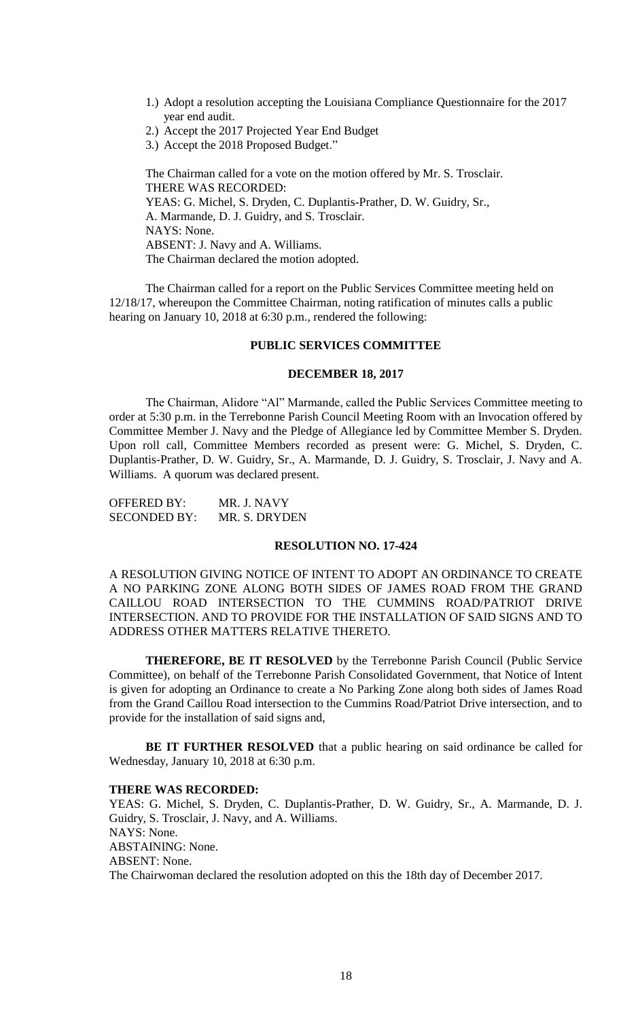- 1.) Adopt a resolution accepting the Louisiana Compliance Questionnaire for the 2017 year end audit.
- 2.) Accept the 2017 Projected Year End Budget
- 3.) Accept the 2018 Proposed Budget."

The Chairman called for a vote on the motion offered by Mr. S. Trosclair. THERE WAS RECORDED: YEAS: G. Michel, S. Dryden, C. Duplantis-Prather, D. W. Guidry, Sr., A. Marmande, D. J. Guidry, and S. Trosclair. NAYS: None. ABSENT: J. Navy and A. Williams. The Chairman declared the motion adopted.

The Chairman called for a report on the Public Services Committee meeting held on 12/18/17, whereupon the Committee Chairman, noting ratification of minutes calls a public hearing on January 10, 2018 at 6:30 p.m., rendered the following:

### **PUBLIC SERVICES COMMITTEE**

#### **DECEMBER 18, 2017**

The Chairman, Alidore "Al" Marmande, called the Public Services Committee meeting to order at 5:30 p.m. in the Terrebonne Parish Council Meeting Room with an Invocation offered by Committee Member J. Navy and the Pledge of Allegiance led by Committee Member S. Dryden. Upon roll call, Committee Members recorded as present were: G. Michel, S. Dryden, C. Duplantis-Prather, D. W. Guidry, Sr., A. Marmande, D. J. Guidry, S. Trosclair, J. Navy and A. Williams. A quorum was declared present.

| <b>OFFERED BY:</b>  | MR. J. NAVY   |
|---------------------|---------------|
| <b>SECONDED BY:</b> | MR. S. DRYDEN |

#### **RESOLUTION NO. 17-424**

A RESOLUTION GIVING NOTICE OF INTENT TO ADOPT AN ORDINANCE TO CREATE A NO PARKING ZONE ALONG BOTH SIDES OF JAMES ROAD FROM THE GRAND CAILLOU ROAD INTERSECTION TO THE CUMMINS ROAD/PATRIOT DRIVE INTERSECTION. AND TO PROVIDE FOR THE INSTALLATION OF SAID SIGNS AND TO ADDRESS OTHER MATTERS RELATIVE THERETO.

**THEREFORE, BE IT RESOLVED** by the Terrebonne Parish Council (Public Service Committee), on behalf of the Terrebonne Parish Consolidated Government, that Notice of Intent is given for adopting an Ordinance to create a No Parking Zone along both sides of James Road from the Grand Caillou Road intersection to the Cummins Road/Patriot Drive intersection, and to provide for the installation of said signs and,

**BE IT FURTHER RESOLVED** that a public hearing on said ordinance be called for Wednesday, January 10, 2018 at 6:30 p.m.

#### **THERE WAS RECORDED:**

YEAS: G. Michel, S. Dryden, C. Duplantis-Prather, D. W. Guidry, Sr., A. Marmande, D. J. Guidry, S. Trosclair, J. Navy, and A. Williams. NAYS: None. ABSTAINING: None. ABSENT: None. The Chairwoman declared the resolution adopted on this the 18th day of December 2017.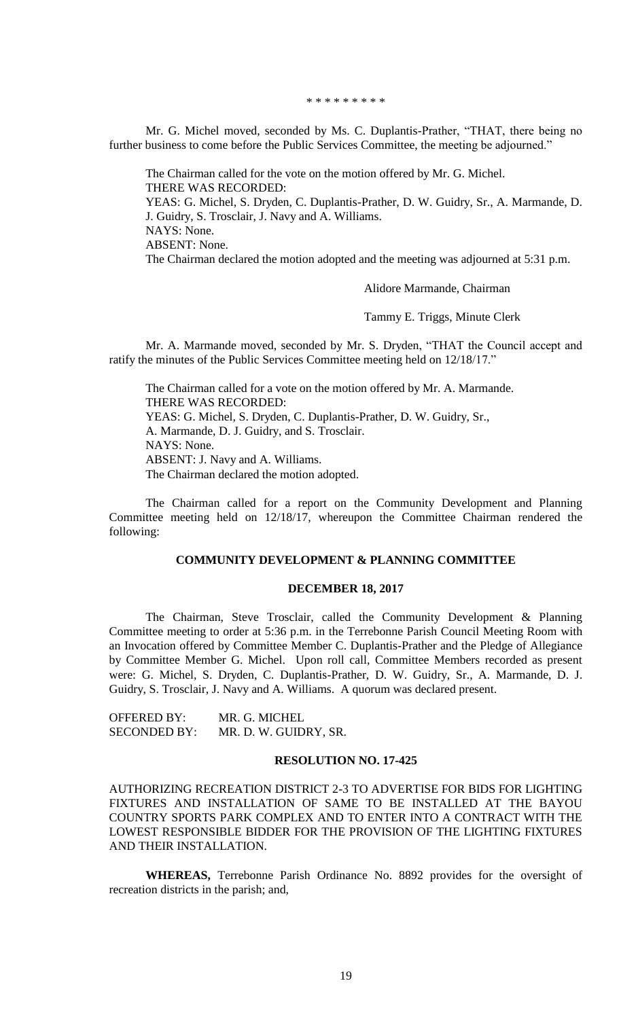\* \* \* \* \* \* \* \* \*

Mr. G. Michel moved, seconded by Ms. C. Duplantis-Prather, "THAT, there being no further business to come before the Public Services Committee, the meeting be adjourned."

The Chairman called for the vote on the motion offered by Mr. G. Michel. THERE WAS RECORDED: YEAS: G. Michel, S. Dryden, C. Duplantis-Prather, D. W. Guidry, Sr., A. Marmande, D. J. Guidry, S. Trosclair, J. Navy and A. Williams. NAYS: None. ABSENT: None. The Chairman declared the motion adopted and the meeting was adjourned at 5:31 p.m.

Alidore Marmande, Chairman

Tammy E. Triggs, Minute Clerk

Mr. A. Marmande moved, seconded by Mr. S. Dryden, "THAT the Council accept and ratify the minutes of the Public Services Committee meeting held on 12/18/17."

The Chairman called for a vote on the motion offered by Mr. A. Marmande. THERE WAS RECORDED: YEAS: G. Michel, S. Dryden, C. Duplantis-Prather, D. W. Guidry, Sr., A. Marmande, D. J. Guidry, and S. Trosclair. NAYS: None. ABSENT: J. Navy and A. Williams. The Chairman declared the motion adopted.

The Chairman called for a report on the Community Development and Planning Committee meeting held on 12/18/17, whereupon the Committee Chairman rendered the following:

### **COMMUNITY DEVELOPMENT & PLANNING COMMITTEE**

#### **DECEMBER 18, 2017**

The Chairman, Steve Trosclair, called the Community Development & Planning Committee meeting to order at 5:36 p.m. in the Terrebonne Parish Council Meeting Room with an Invocation offered by Committee Member C. Duplantis-Prather and the Pledge of Allegiance by Committee Member G. Michel. Upon roll call, Committee Members recorded as present were: G. Michel, S. Dryden, C. Duplantis-Prather, D. W. Guidry, Sr., A. Marmande, D. J. Guidry, S. Trosclair, J. Navy and A. Williams. A quorum was declared present.

OFFERED BY: MR. G. MICHEL SECONDED BY: MR. D. W. GUIDRY, SR.

## **RESOLUTION NO. 17-425**

AUTHORIZING RECREATION DISTRICT 2-3 TO ADVERTISE FOR BIDS FOR LIGHTING FIXTURES AND INSTALLATION OF SAME TO BE INSTALLED AT THE BAYOU COUNTRY SPORTS PARK COMPLEX AND TO ENTER INTO A CONTRACT WITH THE LOWEST RESPONSIBLE BIDDER FOR THE PROVISION OF THE LIGHTING FIXTURES AND THEIR INSTALLATION.

**WHEREAS,** Terrebonne Parish Ordinance No. 8892 provides for the oversight of recreation districts in the parish; and,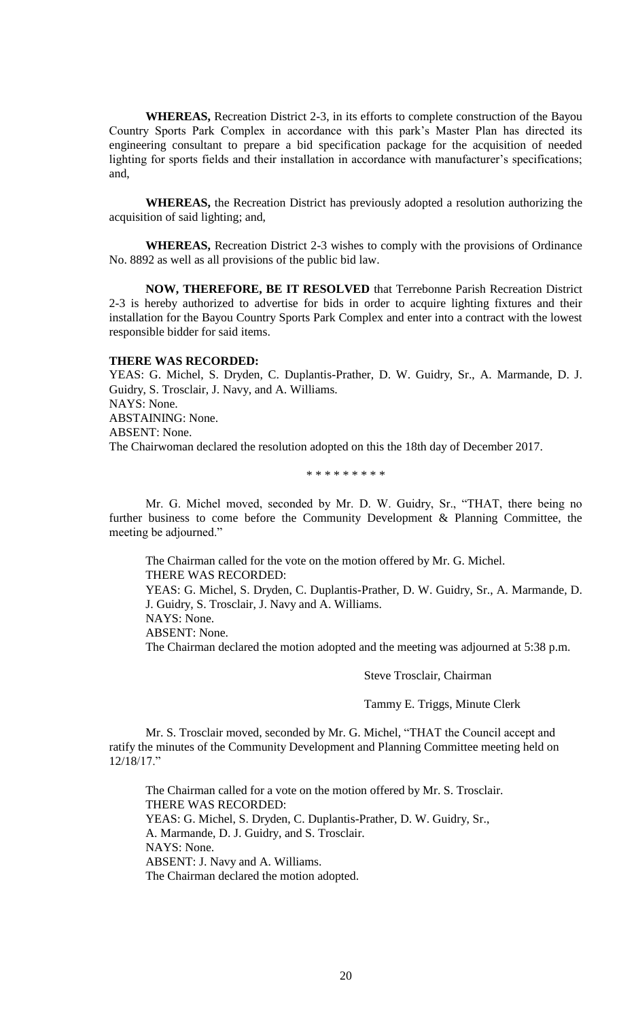**WHEREAS,** Recreation District 2-3, in its efforts to complete construction of the Bayou Country Sports Park Complex in accordance with this park's Master Plan has directed its engineering consultant to prepare a bid specification package for the acquisition of needed lighting for sports fields and their installation in accordance with manufacturer's specifications; and,

**WHEREAS,** the Recreation District has previously adopted a resolution authorizing the acquisition of said lighting; and,

**WHEREAS,** Recreation District 2-3 wishes to comply with the provisions of Ordinance No. 8892 as well as all provisions of the public bid law.

**NOW, THEREFORE, BE IT RESOLVED** that Terrebonne Parish Recreation District 2-3 is hereby authorized to advertise for bids in order to acquire lighting fixtures and their installation for the Bayou Country Sports Park Complex and enter into a contract with the lowest responsible bidder for said items.

#### **THERE WAS RECORDED:**

YEAS: G. Michel, S. Dryden, C. Duplantis-Prather, D. W. Guidry, Sr., A. Marmande, D. J. Guidry, S. Trosclair, J. Navy, and A. Williams. NAYS: None. ABSTAINING: None. ABSENT: None. The Chairwoman declared the resolution adopted on this the 18th day of December 2017.

#### \* \* \* \* \* \* \* \* \*

Mr. G. Michel moved, seconded by Mr. D. W. Guidry, Sr., "THAT, there being no further business to come before the Community Development & Planning Committee, the meeting be adjourned."

The Chairman called for the vote on the motion offered by Mr. G. Michel. THERE WAS RECORDED: YEAS: G. Michel, S. Dryden, C. Duplantis-Prather, D. W. Guidry, Sr., A. Marmande, D. J. Guidry, S. Trosclair, J. Navy and A. Williams.

NAYS: None.

ABSENT: None.

The Chairman declared the motion adopted and the meeting was adjourned at 5:38 p.m.

Steve Trosclair, Chairman

Tammy E. Triggs, Minute Clerk

Mr. S. Trosclair moved, seconded by Mr. G. Michel, "THAT the Council accept and ratify the minutes of the Community Development and Planning Committee meeting held on 12/18/17."

The Chairman called for a vote on the motion offered by Mr. S. Trosclair. THERE WAS RECORDED: YEAS: G. Michel, S. Dryden, C. Duplantis-Prather, D. W. Guidry, Sr., A. Marmande, D. J. Guidry, and S. Trosclair. NAYS: None. ABSENT: J. Navy and A. Williams. The Chairman declared the motion adopted.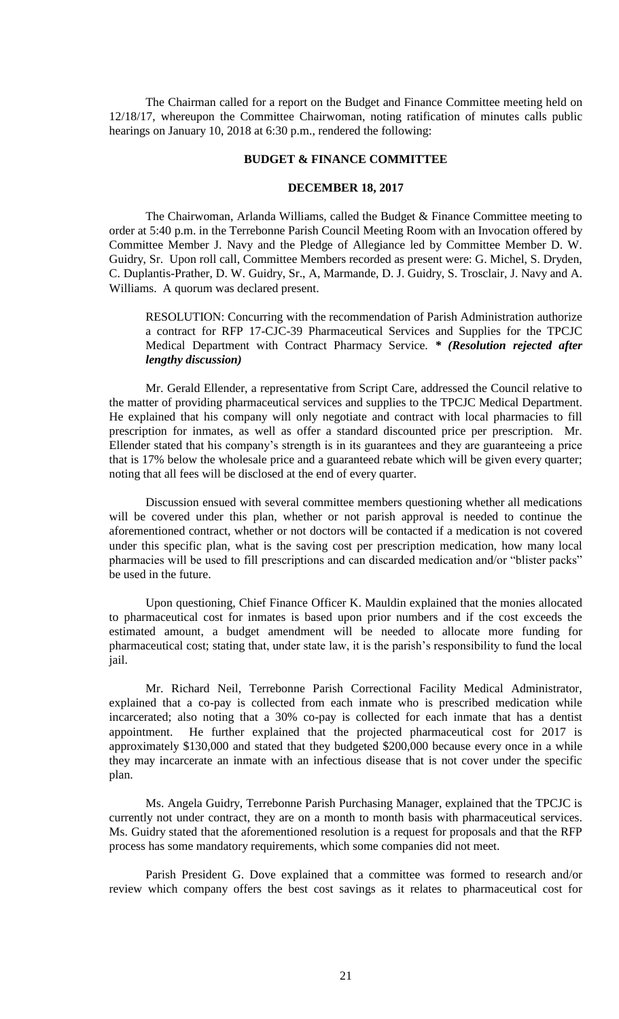The Chairman called for a report on the Budget and Finance Committee meeting held on 12/18/17, whereupon the Committee Chairwoman, noting ratification of minutes calls public hearings on January 10, 2018 at 6:30 p.m., rendered the following:

#### **BUDGET & FINANCE COMMITTEE**

# **DECEMBER 18, 2017**

The Chairwoman, Arlanda Williams, called the Budget & Finance Committee meeting to order at 5:40 p.m. in the Terrebonne Parish Council Meeting Room with an Invocation offered by Committee Member J. Navy and the Pledge of Allegiance led by Committee Member D. W. Guidry, Sr. Upon roll call, Committee Members recorded as present were: G. Michel, S. Dryden, C. Duplantis-Prather, D. W. Guidry, Sr., A, Marmande, D. J. Guidry, S. Trosclair, J. Navy and A. Williams. A quorum was declared present.

RESOLUTION: Concurring with the recommendation of Parish Administration authorize a contract for RFP 17-CJC-39 Pharmaceutical Services and Supplies for the TPCJC Medical Department with Contract Pharmacy Service. *\* (Resolution rejected after lengthy discussion)*

Mr. Gerald Ellender, a representative from Script Care, addressed the Council relative to the matter of providing pharmaceutical services and supplies to the TPCJC Medical Department. He explained that his company will only negotiate and contract with local pharmacies to fill prescription for inmates, as well as offer a standard discounted price per prescription. Mr. Ellender stated that his company's strength is in its guarantees and they are guaranteeing a price that is 17% below the wholesale price and a guaranteed rebate which will be given every quarter; noting that all fees will be disclosed at the end of every quarter.

Discussion ensued with several committee members questioning whether all medications will be covered under this plan, whether or not parish approval is needed to continue the aforementioned contract, whether or not doctors will be contacted if a medication is not covered under this specific plan, what is the saving cost per prescription medication, how many local pharmacies will be used to fill prescriptions and can discarded medication and/or "blister packs" be used in the future.

Upon questioning, Chief Finance Officer K. Mauldin explained that the monies allocated to pharmaceutical cost for inmates is based upon prior numbers and if the cost exceeds the estimated amount, a budget amendment will be needed to allocate more funding for pharmaceutical cost; stating that, under state law, it is the parish's responsibility to fund the local jail.

Mr. Richard Neil, Terrebonne Parish Correctional Facility Medical Administrator, explained that a co-pay is collected from each inmate who is prescribed medication while incarcerated; also noting that a 30% co-pay is collected for each inmate that has a dentist appointment. He further explained that the projected pharmaceutical cost for 2017 is approximately \$130,000 and stated that they budgeted \$200,000 because every once in a while they may incarcerate an inmate with an infectious disease that is not cover under the specific plan.

Ms. Angela Guidry, Terrebonne Parish Purchasing Manager, explained that the TPCJC is currently not under contract, they are on a month to month basis with pharmaceutical services. Ms. Guidry stated that the aforementioned resolution is a request for proposals and that the RFP process has some mandatory requirements, which some companies did not meet.

Parish President G. Dove explained that a committee was formed to research and/or review which company offers the best cost savings as it relates to pharmaceutical cost for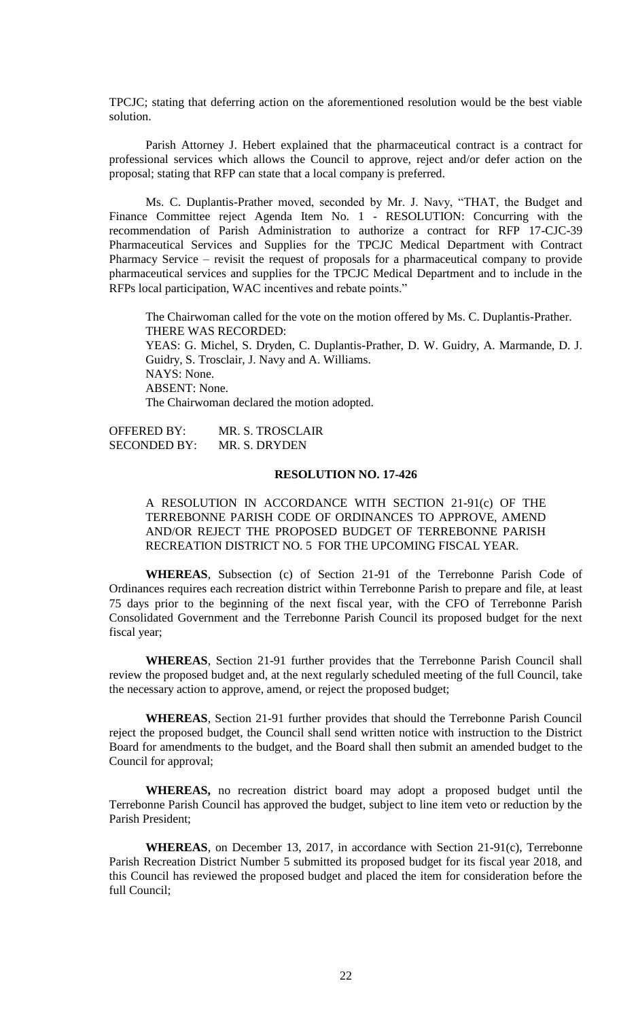TPCJC; stating that deferring action on the aforementioned resolution would be the best viable solution.

Parish Attorney J. Hebert explained that the pharmaceutical contract is a contract for professional services which allows the Council to approve, reject and/or defer action on the proposal; stating that RFP can state that a local company is preferred.

Ms. C. Duplantis-Prather moved, seconded by Mr. J. Navy, "THAT, the Budget and Finance Committee reject Agenda Item No. 1 - RESOLUTION: Concurring with the recommendation of Parish Administration to authorize a contract for RFP 17-CJC-39 Pharmaceutical Services and Supplies for the TPCJC Medical Department with Contract Pharmacy Service – revisit the request of proposals for a pharmaceutical company to provide pharmaceutical services and supplies for the TPCJC Medical Department and to include in the RFPs local participation, WAC incentives and rebate points."

The Chairwoman called for the vote on the motion offered by Ms. C. Duplantis-Prather. THERE WAS RECORDED: YEAS: G. Michel, S. Dryden, C. Duplantis-Prather, D. W. Guidry, A. Marmande, D. J. Guidry, S. Trosclair, J. Navy and A. Williams. NAYS: None. ABSENT: None. The Chairwoman declared the motion adopted.

OFFERED BY: MR. S. TROSCLAIR SECONDED BY: MR. S. DRYDEN

### **RESOLUTION NO. 17-426**

A RESOLUTION IN ACCORDANCE WITH SECTION 21-91(c) OF THE TERREBONNE PARISH CODE OF ORDINANCES TO APPROVE, AMEND AND/OR REJECT THE PROPOSED BUDGET OF TERREBONNE PARISH RECREATION DISTRICT NO. 5 FOR THE UPCOMING FISCAL YEAR.

**WHEREAS**, Subsection (c) of Section 21-91 of the Terrebonne Parish Code of Ordinances requires each recreation district within Terrebonne Parish to prepare and file, at least 75 days prior to the beginning of the next fiscal year, with the CFO of Terrebonne Parish Consolidated Government and the Terrebonne Parish Council its proposed budget for the next fiscal year;

**WHEREAS**, Section 21-91 further provides that the Terrebonne Parish Council shall review the proposed budget and, at the next regularly scheduled meeting of the full Council, take the necessary action to approve, amend, or reject the proposed budget;

**WHEREAS**, Section 21-91 further provides that should the Terrebonne Parish Council reject the proposed budget, the Council shall send written notice with instruction to the District Board for amendments to the budget, and the Board shall then submit an amended budget to the Council for approval;

**WHEREAS,** no recreation district board may adopt a proposed budget until the Terrebonne Parish Council has approved the budget, subject to line item veto or reduction by the Parish President;

**WHEREAS**, on December 13, 2017, in accordance with Section 21-91(c), Terrebonne Parish Recreation District Number 5 submitted its proposed budget for its fiscal year 2018, and this Council has reviewed the proposed budget and placed the item for consideration before the full Council;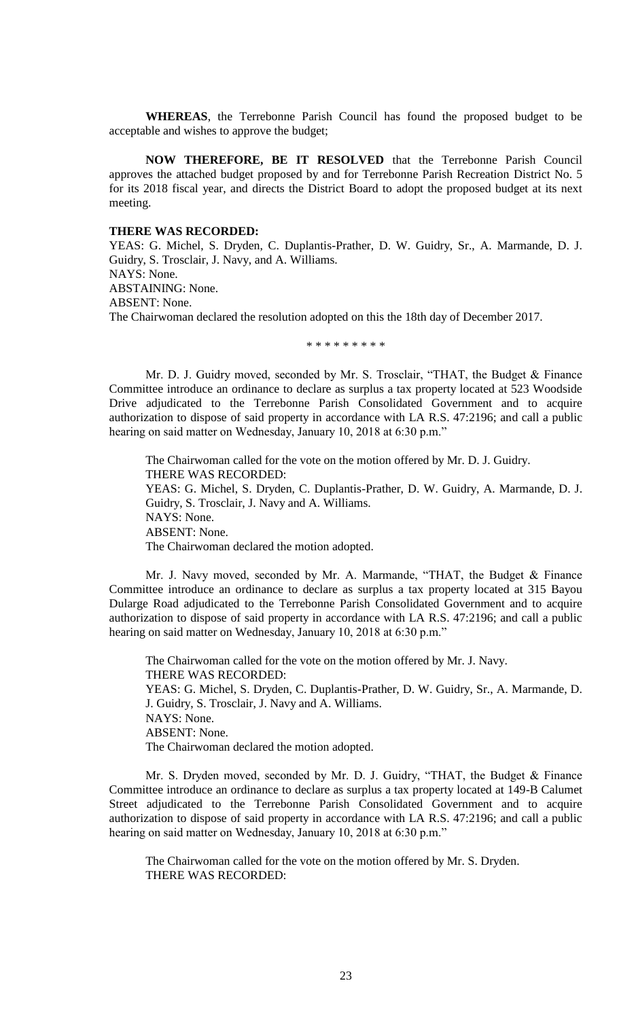**WHEREAS**, the Terrebonne Parish Council has found the proposed budget to be acceptable and wishes to approve the budget;

**NOW THEREFORE, BE IT RESOLVED** that the Terrebonne Parish Council approves the attached budget proposed by and for Terrebonne Parish Recreation District No. 5 for its 2018 fiscal year, and directs the District Board to adopt the proposed budget at its next meeting.

# **THERE WAS RECORDED:**

YEAS: G. Michel, S. Dryden, C. Duplantis-Prather, D. W. Guidry, Sr., A. Marmande, D. J. Guidry, S. Trosclair, J. Navy, and A. Williams. NAYS: None. ABSTAINING: None. ABSENT: None. The Chairwoman declared the resolution adopted on this the 18th day of December 2017.

\* \* \* \* \* \* \* \* \*

Mr. D. J. Guidry moved, seconded by Mr. S. Trosclair, "THAT, the Budget & Finance Committee introduce an ordinance to declare as surplus a tax property located at 523 Woodside Drive adjudicated to the Terrebonne Parish Consolidated Government and to acquire authorization to dispose of said property in accordance with LA R.S. 47:2196; and call a public hearing on said matter on Wednesday, January 10, 2018 at 6:30 p.m."

The Chairwoman called for the vote on the motion offered by Mr. D. J. Guidry. THERE WAS RECORDED: YEAS: G. Michel, S. Dryden, C. Duplantis-Prather, D. W. Guidry, A. Marmande, D. J. Guidry, S. Trosclair, J. Navy and A. Williams. NAYS: None. ABSENT: None. The Chairwoman declared the motion adopted.

Mr. J. Navy moved, seconded by Mr. A. Marmande, "THAT, the Budget & Finance Committee introduce an ordinance to declare as surplus a tax property located at 315 Bayou Dularge Road adjudicated to the Terrebonne Parish Consolidated Government and to acquire authorization to dispose of said property in accordance with LA R.S. 47:2196; and call a public hearing on said matter on Wednesday, January 10, 2018 at 6:30 p.m."

The Chairwoman called for the vote on the motion offered by Mr. J. Navy. THERE WAS RECORDED: YEAS: G. Michel, S. Dryden, C. Duplantis-Prather, D. W. Guidry, Sr., A. Marmande, D. J. Guidry, S. Trosclair, J. Navy and A. Williams. NAYS: None. ABSENT: None. The Chairwoman declared the motion adopted.

Mr. S. Dryden moved, seconded by Mr. D. J. Guidry, "THAT, the Budget & Finance Committee introduce an ordinance to declare as surplus a tax property located at 149-B Calumet Street adjudicated to the Terrebonne Parish Consolidated Government and to acquire authorization to dispose of said property in accordance with LA R.S. 47:2196; and call a public hearing on said matter on Wednesday, January 10, 2018 at 6:30 p.m."

The Chairwoman called for the vote on the motion offered by Mr. S. Dryden. THERE WAS RECORDED: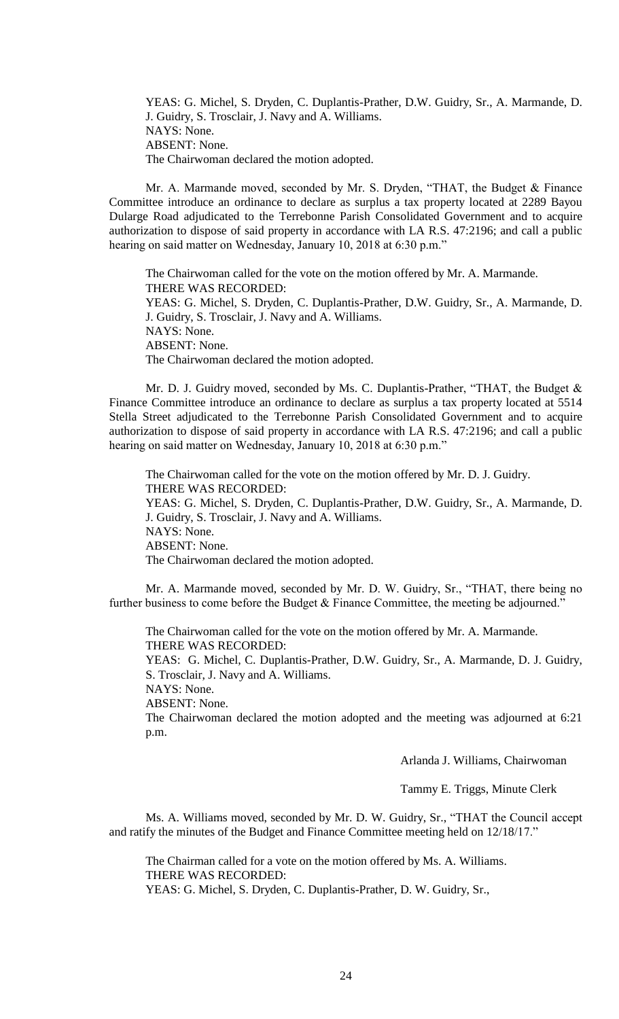YEAS: G. Michel, S. Dryden, C. Duplantis-Prather, D.W. Guidry, Sr., A. Marmande, D. J. Guidry, S. Trosclair, J. Navy and A. Williams. NAYS: None. ABSENT: None. The Chairwoman declared the motion adopted.

Mr. A. Marmande moved, seconded by Mr. S. Dryden, "THAT, the Budget & Finance Committee introduce an ordinance to declare as surplus a tax property located at 2289 Bayou Dularge Road adjudicated to the Terrebonne Parish Consolidated Government and to acquire authorization to dispose of said property in accordance with LA R.S. 47:2196; and call a public hearing on said matter on Wednesday, January 10, 2018 at 6:30 p.m."

The Chairwoman called for the vote on the motion offered by Mr. A. Marmande. THERE WAS RECORDED: YEAS: G. Michel, S. Dryden, C. Duplantis-Prather, D.W. Guidry, Sr., A. Marmande, D. J. Guidry, S. Trosclair, J. Navy and A. Williams. NAYS: None. ABSENT: None. The Chairwoman declared the motion adopted.

Mr. D. J. Guidry moved, seconded by Ms. C. Duplantis-Prather, "THAT, the Budget & Finance Committee introduce an ordinance to declare as surplus a tax property located at 5514 Stella Street adjudicated to the Terrebonne Parish Consolidated Government and to acquire authorization to dispose of said property in accordance with LA R.S. 47:2196; and call a public hearing on said matter on Wednesday, January 10, 2018 at 6:30 p.m."

The Chairwoman called for the vote on the motion offered by Mr. D. J. Guidry. THERE WAS RECORDED: YEAS: G. Michel, S. Dryden, C. Duplantis-Prather, D.W. Guidry, Sr., A. Marmande, D. J. Guidry, S. Trosclair, J. Navy and A. Williams. NAYS: None. ABSENT: None. The Chairwoman declared the motion adopted.

Mr. A. Marmande moved, seconded by Mr. D. W. Guidry, Sr., "THAT, there being no further business to come before the Budget & Finance Committee, the meeting be adjourned."

The Chairwoman called for the vote on the motion offered by Mr. A. Marmande. THERE WAS RECORDED:

YEAS: G. Michel, C. Duplantis-Prather, D.W. Guidry, Sr., A. Marmande, D. J. Guidry, S. Trosclair, J. Navy and A. Williams.

NAYS: None.

ABSENT: None.

The Chairwoman declared the motion adopted and the meeting was adjourned at 6:21 p.m.

Arlanda J. Williams, Chairwoman

Tammy E. Triggs, Minute Clerk

Ms. A. Williams moved, seconded by Mr. D. W. Guidry, Sr., "THAT the Council accept and ratify the minutes of the Budget and Finance Committee meeting held on 12/18/17."

The Chairman called for a vote on the motion offered by Ms. A. Williams. THERE WAS RECORDED: YEAS: G. Michel, S. Dryden, C. Duplantis-Prather, D. W. Guidry, Sr.,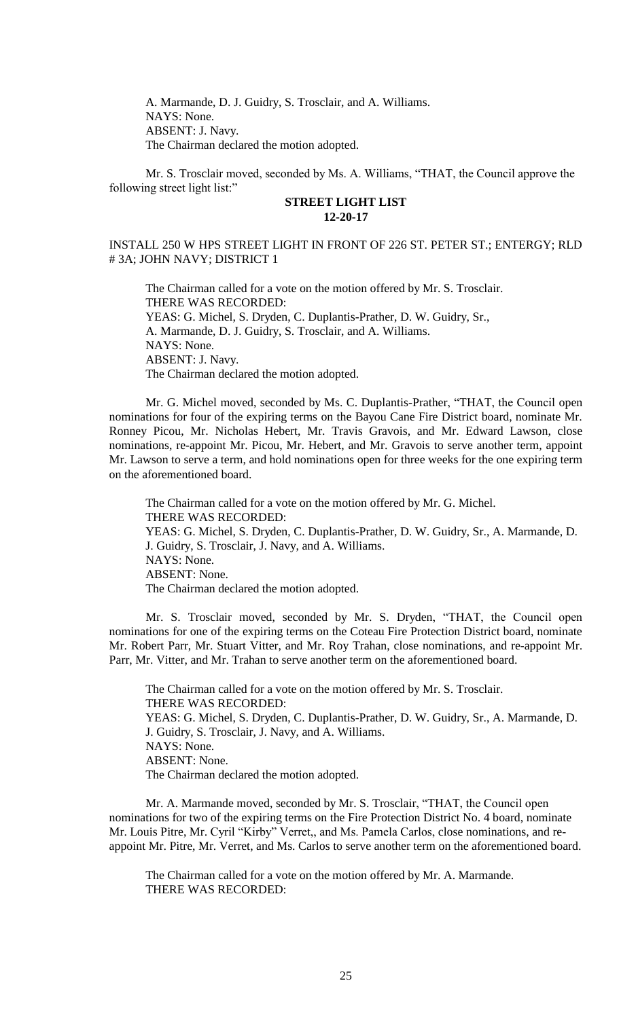A. Marmande, D. J. Guidry, S. Trosclair, and A. Williams. NAYS: None. ABSENT: J. Navy. The Chairman declared the motion adopted.

Mr. S. Trosclair moved, seconded by Ms. A. Williams, "THAT, the Council approve the following street light list:"

# **STREET LIGHT LIST 12-20-17**

# INSTALL 250 W HPS STREET LIGHT IN FRONT OF 226 ST. PETER ST.; ENTERGY; RLD # 3A; JOHN NAVY; DISTRICT 1

The Chairman called for a vote on the motion offered by Mr. S. Trosclair. THERE WAS RECORDED: YEAS: G. Michel, S. Dryden, C. Duplantis-Prather, D. W. Guidry, Sr., A. Marmande, D. J. Guidry, S. Trosclair, and A. Williams. NAYS: None. ABSENT: J. Navy. The Chairman declared the motion adopted.

Mr. G. Michel moved, seconded by Ms. C. Duplantis-Prather, "THAT, the Council open nominations for four of the expiring terms on the Bayou Cane Fire District board, nominate Mr. Ronney Picou, Mr. Nicholas Hebert, Mr. Travis Gravois, and Mr. Edward Lawson, close nominations, re-appoint Mr. Picou, Mr. Hebert, and Mr. Gravois to serve another term, appoint Mr. Lawson to serve a term, and hold nominations open for three weeks for the one expiring term on the aforementioned board.

The Chairman called for a vote on the motion offered by Mr. G. Michel. THERE WAS RECORDED: YEAS: G. Michel, S. Dryden, C. Duplantis-Prather, D. W. Guidry, Sr., A. Marmande, D. J. Guidry, S. Trosclair, J. Navy, and A. Williams. NAYS: None. ABSENT: None. The Chairman declared the motion adopted.

Mr. S. Trosclair moved, seconded by Mr. S. Dryden, "THAT, the Council open nominations for one of the expiring terms on the Coteau Fire Protection District board, nominate Mr. Robert Parr, Mr. Stuart Vitter, and Mr. Roy Trahan, close nominations, and re-appoint Mr. Parr, Mr. Vitter, and Mr. Trahan to serve another term on the aforementioned board.

The Chairman called for a vote on the motion offered by Mr. S. Trosclair. THERE WAS RECORDED: YEAS: G. Michel, S. Dryden, C. Duplantis-Prather, D. W. Guidry, Sr., A. Marmande, D. J. Guidry, S. Trosclair, J. Navy, and A. Williams. NAYS: None. ABSENT: None. The Chairman declared the motion adopted.

Mr. A. Marmande moved, seconded by Mr. S. Trosclair, "THAT, the Council open nominations for two of the expiring terms on the Fire Protection District No. 4 board, nominate Mr. Louis Pitre, Mr. Cyril "Kirby" Verret,, and Ms. Pamela Carlos, close nominations, and reappoint Mr. Pitre, Mr. Verret, and Ms. Carlos to serve another term on the aforementioned board.

The Chairman called for a vote on the motion offered by Mr. A. Marmande. THERE WAS RECORDED: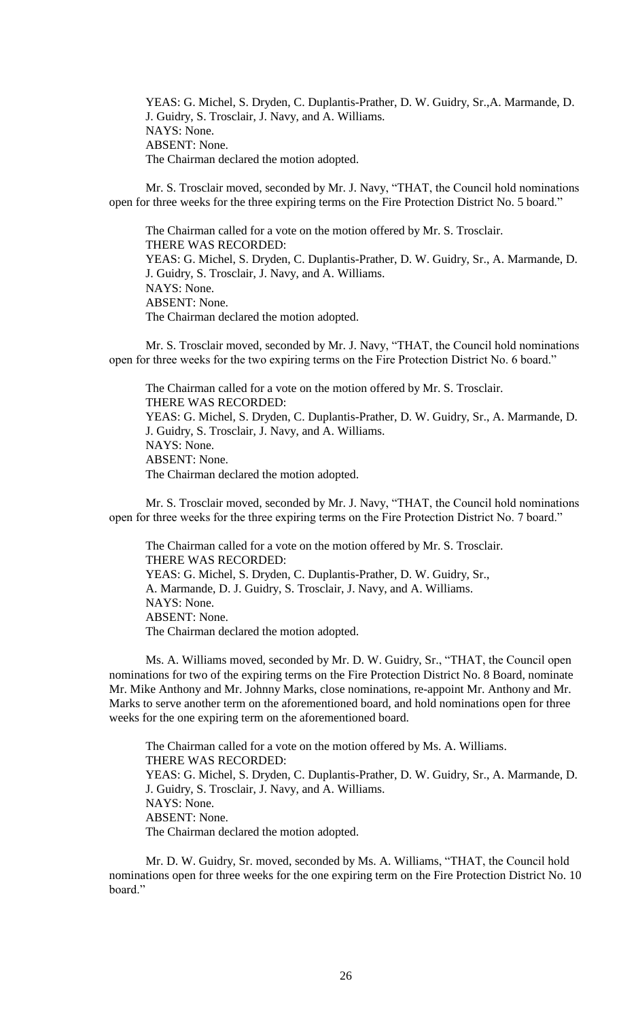YEAS: G. Michel, S. Dryden, C. Duplantis-Prather, D. W. Guidry, Sr.,A. Marmande, D. J. Guidry, S. Trosclair, J. Navy, and A. Williams. NAYS: None. ABSENT: None. The Chairman declared the motion adopted.

Mr. S. Trosclair moved, seconded by Mr. J. Navy, "THAT, the Council hold nominations open for three weeks for the three expiring terms on the Fire Protection District No. 5 board."

The Chairman called for a vote on the motion offered by Mr. S. Trosclair. THERE WAS RECORDED: YEAS: G. Michel, S. Dryden, C. Duplantis-Prather, D. W. Guidry, Sr., A. Marmande, D. J. Guidry, S. Trosclair, J. Navy, and A. Williams. NAYS: None. ABSENT: None. The Chairman declared the motion adopted.

Mr. S. Trosclair moved, seconded by Mr. J. Navy, "THAT, the Council hold nominations open for three weeks for the two expiring terms on the Fire Protection District No. 6 board."

The Chairman called for a vote on the motion offered by Mr. S. Trosclair. THERE WAS RECORDED: YEAS: G. Michel, S. Dryden, C. Duplantis-Prather, D. W. Guidry, Sr., A. Marmande, D. J. Guidry, S. Trosclair, J. Navy, and A. Williams. NAYS: None. ABSENT: None. The Chairman declared the motion adopted.

Mr. S. Trosclair moved, seconded by Mr. J. Navy, "THAT, the Council hold nominations open for three weeks for the three expiring terms on the Fire Protection District No. 7 board."

The Chairman called for a vote on the motion offered by Mr. S. Trosclair. THERE WAS RECORDED: YEAS: G. Michel, S. Dryden, C. Duplantis-Prather, D. W. Guidry, Sr., A. Marmande, D. J. Guidry, S. Trosclair, J. Navy, and A. Williams. NAYS: None. ABSENT: None. The Chairman declared the motion adopted.

Ms. A. Williams moved, seconded by Mr. D. W. Guidry, Sr., "THAT, the Council open nominations for two of the expiring terms on the Fire Protection District No. 8 Board, nominate Mr. Mike Anthony and Mr. Johnny Marks, close nominations, re-appoint Mr. Anthony and Mr. Marks to serve another term on the aforementioned board, and hold nominations open for three weeks for the one expiring term on the aforementioned board.

The Chairman called for a vote on the motion offered by Ms. A. Williams. THERE WAS RECORDED: YEAS: G. Michel, S. Dryden, C. Duplantis-Prather, D. W. Guidry, Sr., A. Marmande, D. J. Guidry, S. Trosclair, J. Navy, and A. Williams. NAYS: None. ABSENT: None. The Chairman declared the motion adopted.

Mr. D. W. Guidry, Sr. moved, seconded by Ms. A. Williams, "THAT, the Council hold nominations open for three weeks for the one expiring term on the Fire Protection District No. 10 board."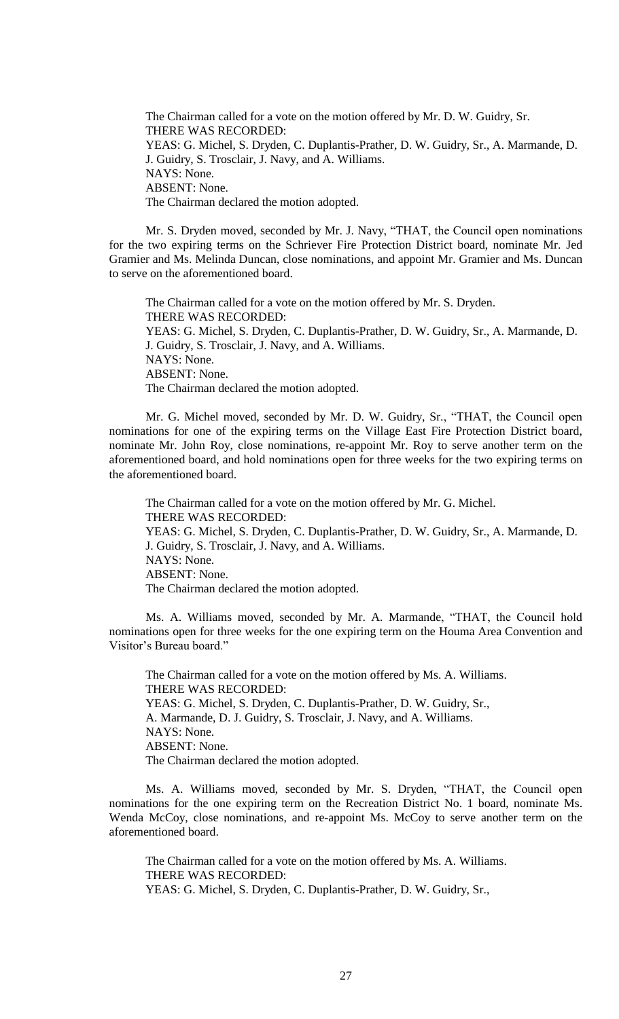The Chairman called for a vote on the motion offered by Mr. D. W. Guidry, Sr. THERE WAS RECORDED: YEAS: G. Michel, S. Dryden, C. Duplantis-Prather, D. W. Guidry, Sr., A. Marmande, D. J. Guidry, S. Trosclair, J. Navy, and A. Williams. NAYS: None. ABSENT: None. The Chairman declared the motion adopted.

Mr. S. Dryden moved, seconded by Mr. J. Navy, "THAT, the Council open nominations for the two expiring terms on the Schriever Fire Protection District board, nominate Mr. Jed Gramier and Ms. Melinda Duncan, close nominations, and appoint Mr. Gramier and Ms. Duncan to serve on the aforementioned board.

The Chairman called for a vote on the motion offered by Mr. S. Dryden. THERE WAS RECORDED: YEAS: G. Michel, S. Dryden, C. Duplantis-Prather, D. W. Guidry, Sr., A. Marmande, D. J. Guidry, S. Trosclair, J. Navy, and A. Williams. NAYS: None. ABSENT: None. The Chairman declared the motion adopted.

Mr. G. Michel moved, seconded by Mr. D. W. Guidry, Sr., "THAT, the Council open nominations for one of the expiring terms on the Village East Fire Protection District board, nominate Mr. John Roy, close nominations, re-appoint Mr. Roy to serve another term on the aforementioned board, and hold nominations open for three weeks for the two expiring terms on the aforementioned board.

The Chairman called for a vote on the motion offered by Mr. G. Michel. THERE WAS RECORDED: YEAS: G. Michel, S. Dryden, C. Duplantis-Prather, D. W. Guidry, Sr., A. Marmande, D. J. Guidry, S. Trosclair, J. Navy, and A. Williams. NAYS: None. ABSENT: None. The Chairman declared the motion adopted.

Ms. A. Williams moved, seconded by Mr. A. Marmande, "THAT, the Council hold nominations open for three weeks for the one expiring term on the Houma Area Convention and Visitor's Bureau board."

The Chairman called for a vote on the motion offered by Ms. A. Williams. THERE WAS RECORDED: YEAS: G. Michel, S. Dryden, C. Duplantis-Prather, D. W. Guidry, Sr., A. Marmande, D. J. Guidry, S. Trosclair, J. Navy, and A. Williams. NAYS: None. ABSENT: None. The Chairman declared the motion adopted.

Ms. A. Williams moved, seconded by Mr. S. Dryden, "THAT, the Council open nominations for the one expiring term on the Recreation District No. 1 board, nominate Ms. Wenda McCoy, close nominations, and re-appoint Ms. McCoy to serve another term on the aforementioned board.

The Chairman called for a vote on the motion offered by Ms. A. Williams. THERE WAS RECORDED: YEAS: G. Michel, S. Dryden, C. Duplantis-Prather, D. W. Guidry, Sr.,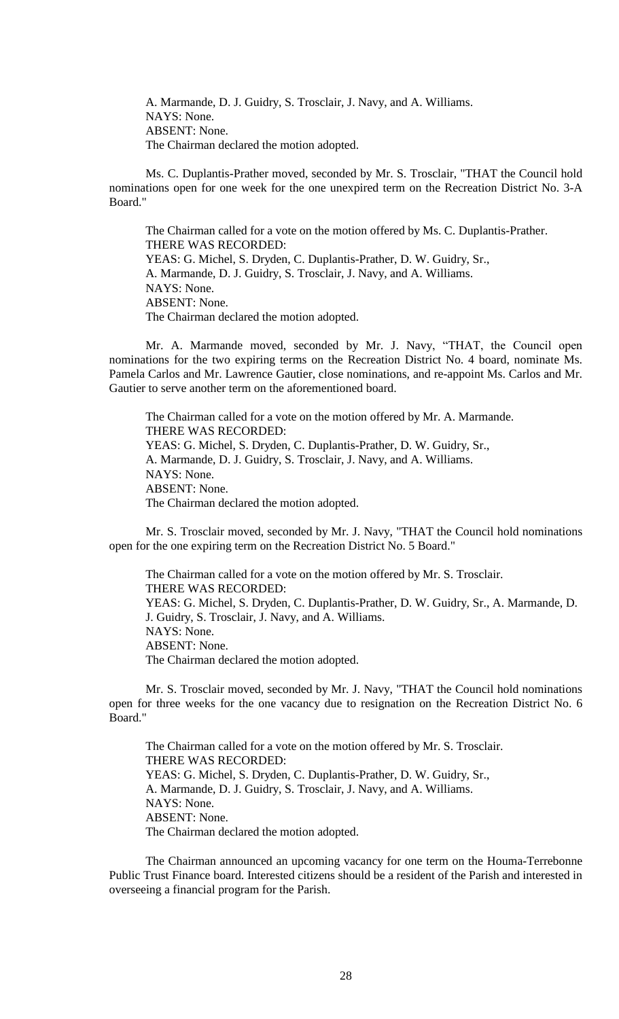A. Marmande, D. J. Guidry, S. Trosclair, J. Navy, and A. Williams. NAYS: None. ABSENT: None. The Chairman declared the motion adopted.

Ms. C. Duplantis-Prather moved, seconded by Mr. S. Trosclair, "THAT the Council hold nominations open for one week for the one unexpired term on the Recreation District No. 3-A Board."

The Chairman called for a vote on the motion offered by Ms. C. Duplantis-Prather. THERE WAS RECORDED: YEAS: G. Michel, S. Dryden, C. Duplantis-Prather, D. W. Guidry, Sr., A. Marmande, D. J. Guidry, S. Trosclair, J. Navy, and A. Williams. NAYS: None. ABSENT: None. The Chairman declared the motion adopted.

Mr. A. Marmande moved, seconded by Mr. J. Navy, "THAT, the Council open nominations for the two expiring terms on the Recreation District No. 4 board, nominate Ms. Pamela Carlos and Mr. Lawrence Gautier, close nominations, and re-appoint Ms. Carlos and Mr. Gautier to serve another term on the aforementioned board.

The Chairman called for a vote on the motion offered by Mr. A. Marmande. THERE WAS RECORDED: YEAS: G. Michel, S. Dryden, C. Duplantis-Prather, D. W. Guidry, Sr., A. Marmande, D. J. Guidry, S. Trosclair, J. Navy, and A. Williams. NAYS: None. ABSENT: None. The Chairman declared the motion adopted.

Mr. S. Trosclair moved, seconded by Mr. J. Navy, "THAT the Council hold nominations open for the one expiring term on the Recreation District No. 5 Board."

The Chairman called for a vote on the motion offered by Mr. S. Trosclair. THERE WAS RECORDED: YEAS: G. Michel, S. Dryden, C. Duplantis-Prather, D. W. Guidry, Sr., A. Marmande, D. J. Guidry, S. Trosclair, J. Navy, and A. Williams. NAYS: None. ABSENT: None. The Chairman declared the motion adopted.

Mr. S. Trosclair moved, seconded by Mr. J. Navy, "THAT the Council hold nominations open for three weeks for the one vacancy due to resignation on the Recreation District No. 6 Board."

The Chairman called for a vote on the motion offered by Mr. S. Trosclair. THERE WAS RECORDED: YEAS: G. Michel, S. Dryden, C. Duplantis-Prather, D. W. Guidry, Sr., A. Marmande, D. J. Guidry, S. Trosclair, J. Navy, and A. Williams. NAYS: None. ABSENT: None. The Chairman declared the motion adopted.

The Chairman announced an upcoming vacancy for one term on the Houma-Terrebonne Public Trust Finance board. Interested citizens should be a resident of the Parish and interested in overseeing a financial program for the Parish.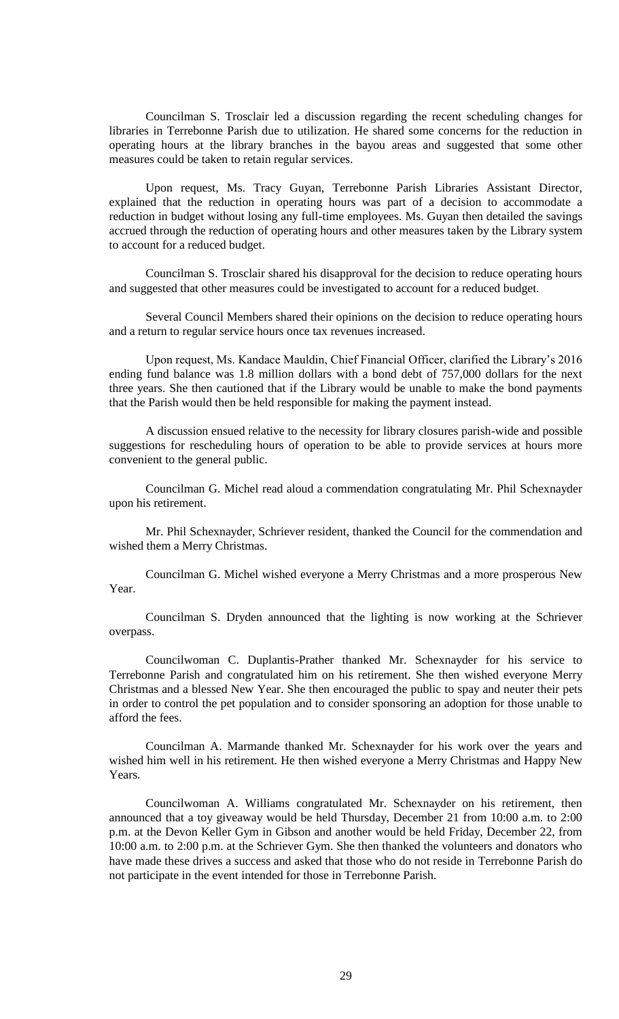Councilman S. Trosclair led a discussion regarding the recent scheduling changes for libraries in Terrebonne Parish due to utilization. He shared some concerns for the reduction in operating hours at the library branches in the bayou areas and suggested that some other measures could be taken to retain regular services.

Upon request, Ms. Tracy Guyan, Terrebonne Parish Libraries Assistant Director, explained that the reduction in operating hours was part of a decision to accommodate a reduction in budget without losing any full-time employees. Ms. Guyan then detailed the savings accrued through the reduction of operating hours and other measures taken by the Library system to account for a reduced budget.

Councilman S. Trosclair shared his disapproval for the decision to reduce operating hours and suggested that other measures could be investigated to account for a reduced budget.

Several Council Members shared their opinions on the decision to reduce operating hours and a return to regular service hours once tax revenues increased.

Upon request, Ms. Kandace Mauldin, Chief Financial Officer, clarified the Library's 2016 ending fund balance was 1.8 million dollars with a bond debt of 757,000 dollars for the next three years. She then cautioned that if the Library would be unable to make the bond payments that the Parish would then be held responsible for making the payment instead.

A discussion ensued relative to the necessity for library closures parish-wide and possible suggestions for rescheduling hours of operation to be able to provide services at hours more convenient to the general public.

Councilman G. Michel read aloud a commendation congratulating Mr. Phil Schexnayder upon his retirement.

Mr. Phil Schexnayder, Schriever resident, thanked the Council for the commendation and wished them a Merry Christmas.

Councilman G. Michel wished everyone a Merry Christmas and a more prosperous New Year.

Councilman S. Dryden announced that the lighting is now working at the Schriever overpass.

Councilwoman C. Duplantis-Prather thanked Mr. Schexnayder for his service to Terrebonne Parish and congratulated him on his retirement. She then wished everyone Merry Christmas and a blessed New Year. She then encouraged the public to spay and neuter their pets in order to control the pet population and to consider sponsoring an adoption for those unable to afford the fees.

Councilman A. Marmande thanked Mr. Schexnayder for his work over the years and wished him well in his retirement. He then wished everyone a Merry Christmas and Happy New Years.

Councilwoman A. Williams congratulated Mr. Schexnayder on his retirement, then announced that a toy giveaway would be held Thursday, December 21 from 10:00 a.m. to 2:00 p.m. at the Devon Keller Gym in Gibson and another would be held Friday, December 22, from 10:00 a.m. to 2:00 p.m. at the Schriever Gym. She then thanked the volunteers and donators who have made these drives a success and asked that those who do not reside in Terrebonne Parish do not participate in the event intended for those in Terrebonne Parish.